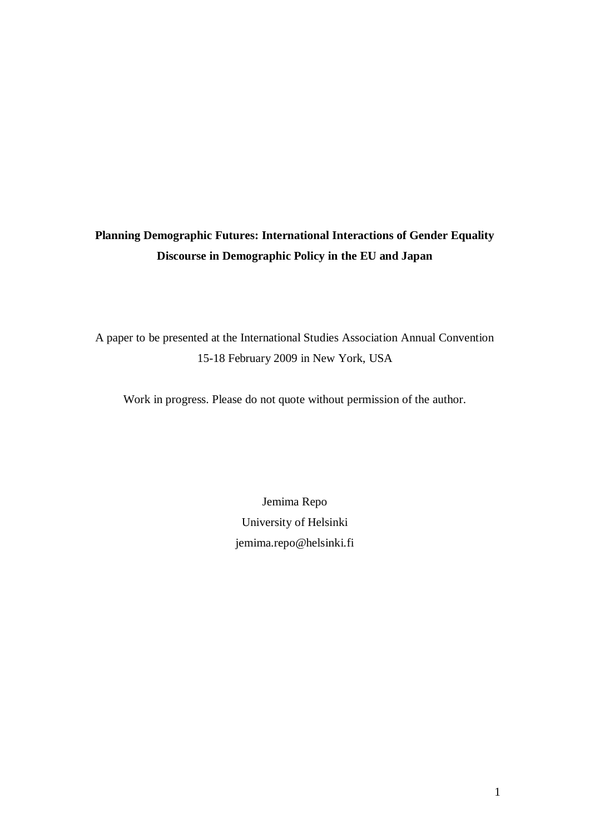# **Planning Demographic Futures: International Interactions of Gender Equality Discourse in Demographic Policy in the EU and Japan**

A paper to be presented at the International Studies Association Annual Convention 15-18 February 2009 in New York, USA

Work in progress. Please do not quote without permission of the author.

Jemima Repo University of Helsinki [jemima.repo@helsinki.fi](mailto:jemima.repo@helsinki.fi)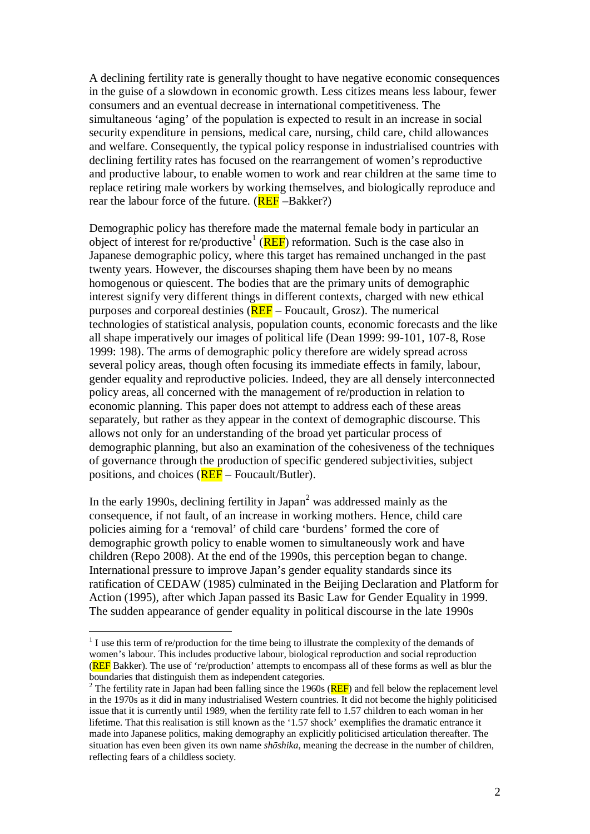A declining fertility rate is generally thought to have negative economic consequences in the guise of a slowdown in economic growth. Less citizes means less labour, fewer consumers and an eventual decrease in international competitiveness. The simultaneous 'aging' of the population is expected to result in an increase in social security expenditure in pensions, medical care, nursing, child care, child allowances and welfare. Consequently, the typical policy response in industrialised countries with declining fertility rates has focused on the rearrangement of women's reproductive and productive labour, to enable women to work and rear children at the same time to replace retiring male workers by working themselves, and biologically reproduce and rear the labour force of the future.  $(REF - Bakker?)$ 

Demographic policy has therefore made the maternal female body in particular an object of interest for re/productive<sup>1</sup> (**REF**) reformation. Such is the case also in Japanese demographic policy, where this target has remained unchanged in the past twenty years. However, the discourses shaping them have been by no means homogenous or quiescent. The bodies that are the primary units of demographic interest signify very different things in different contexts, charged with new ethical purposes and corporeal destinies (REF – Foucault, Grosz). The numerical technologies of statistical analysis, population counts, economic forecasts and the like all shape imperatively our images of political life (Dean 1999: 99-101, 107-8, Rose 1999: 198). The arms of demographic policy therefore are widely spread across several policy areas, though often focusing its immediate effects in family, labour, gender equality and reproductive policies. Indeed, they are all densely interconnected policy areas, all concerned with the management of re/production in relation to economic planning. This paper does not attempt to address each of these areas separately, but rather as they appear in the context of demographic discourse. This allows not only for an understanding of the broad yet particular process of demographic planning, but also an examination of the cohesiveness of the techniques of governance through the production of specific gendered subjectivities, subject positions, and choices (REF – Foucault/Butler).

In the early 1990s, declining fertility in Japan<sup>2</sup> was addressed mainly as the consequence, if not fault, of an increase in working mothers. Hence, child care policies aiming for a 'removal' of child care 'burdens' formed the core of demographic growth policy to enable women to simultaneously work and have children (Repo 2008). At the end of the 1990s, this perception began to change. International pressure to improve Japan's gender equality standards since its ratification of CEDAW (1985) culminated in the Beijing Declaration and Platform for Action (1995), after which Japan passed its Basic Law for Gender Equality in 1999. The sudden appearance of gender equality in political discourse in the late 1990s

 $<sup>1</sup>$  I use this term of re/production for the time being to illustrate the complexity of the demands of</sup> women's labour. This includes productive labour, biological reproduction and social reproduction (REF Bakker). The use of 're/production' attempts to encompass all of these forms as well as blur the boundaries that distinguish them as independent categories.

<sup>&</sup>lt;sup>2</sup> The fertility rate in Japan had been falling since the 1960s ( $\overline{REF}$ ) and fell below the replacement level in the 1970s as it did in many industrialised Western countries. It did not become the highly politicised issue that it is currently until 1989, when the fertility rate fell to 1.57 children to each woman in her lifetime. That this realisation is still known as the '1.57 shock' exemplifies the dramatic entrance it made into Japanese politics, making demography an explicitly politicised articulation thereafter. The situation has even been given its own name *shōshika*, meaning the decrease in the number of children, reflecting fears of a childless society.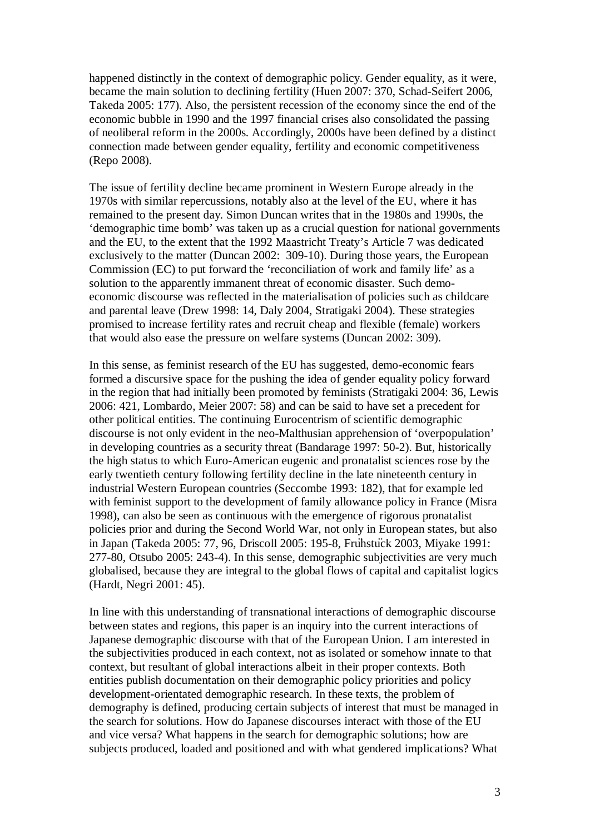happened distinctly in the context of demographic policy. Gender equality, as it were, became the main solution to declining fertility (Huen 2007: 370, Schad-Seifert 2006, Takeda 2005: 177). Also, the persistent recession of the economy since the end of the economic bubble in 1990 and the 1997 financial crises also consolidated the passing of neoliberal reform in the 2000s. Accordingly, 2000s have been defined by a distinct connection made between gender equality, fertility and economic competitiveness (Repo 2008).

The issue of fertility decline became prominent in Western Europe already in the 1970s with similar repercussions, notably also at the level of the EU, where it has remained to the present day. Simon Duncan writes that in the 1980s and 1990s, the 'demographic time bomb' was taken up as a crucial question for national governments and the EU, to the extent that the 1992 Maastricht Treaty's Article 7 was dedicated exclusively to the matter (Duncan 2002: 309-10). During those years, the European Commission (EC) to put forward the 'reconciliation of work and family life' as a solution to the apparently immanent threat of economic disaster. Such demoeconomic discourse was reflected in the materialisation of policies such as childcare and parental leave (Drew 1998: 14, Daly 2004, Stratigaki 2004). These strategies promised to increase fertility rates and recruit cheap and flexible (female) workers that would also ease the pressure on welfare systems (Duncan 2002: 309).

In this sense, as feminist research of the EU has suggested, demo-economic fears formed a discursive space for the pushing the idea of gender equality policy forward in the region that had initially been promoted by feminists (Stratigaki 2004: 36, Lewis 2006: 421, Lombardo, Meier 2007: 58) and can be said to have set a precedent for other political entities. The continuing Eurocentrism of scientific demographic discourse is not only evident in the neo-Malthusian apprehension of 'overpopulation' in developing countries as a security threat (Bandarage 1997: 50-2). But, historically the high status to which Euro-American eugenic and pronatalist sciences rose by the early twentieth century following fertility decline in the late nineteenth century in industrial Western European countries (Seccombe 1993: 182), that for example led with feminist support to the development of family allowance policy in France (Misra 1998), can also be seen as continuous with the emergence of rigorous pronatalist policies prior and during the Second World War, not only in European states, but also in Japan (Takeda 2005: 77, 96, Driscoll 2005: 195-8, Fruhstuck 2003, Miyake 1991: 277-80, Otsubo 2005: 243-4). In this sense, demographic subjectivities are very much globalised, because they are integral to the global flows of capital and capitalist logics (Hardt, Negri 2001: 45).

In line with this understanding of transnational interactions of demographic discourse between states and regions, this paper is an inquiry into the current interactions of Japanese demographic discourse with that of the European Union. I am interested in the subjectivities produced in each context, not as isolated or somehow innate to that context, but resultant of global interactions albeit in their proper contexts. Both entities publish documentation on their demographic policy priorities and policy development-orientated demographic research. In these texts, the problem of demography is defined, producing certain subjects of interest that must be managed in the search for solutions. How do Japanese discourses interact with those of the EU and vice versa? What happens in the search for demographic solutions; how are subjects produced, loaded and positioned and with what gendered implications? What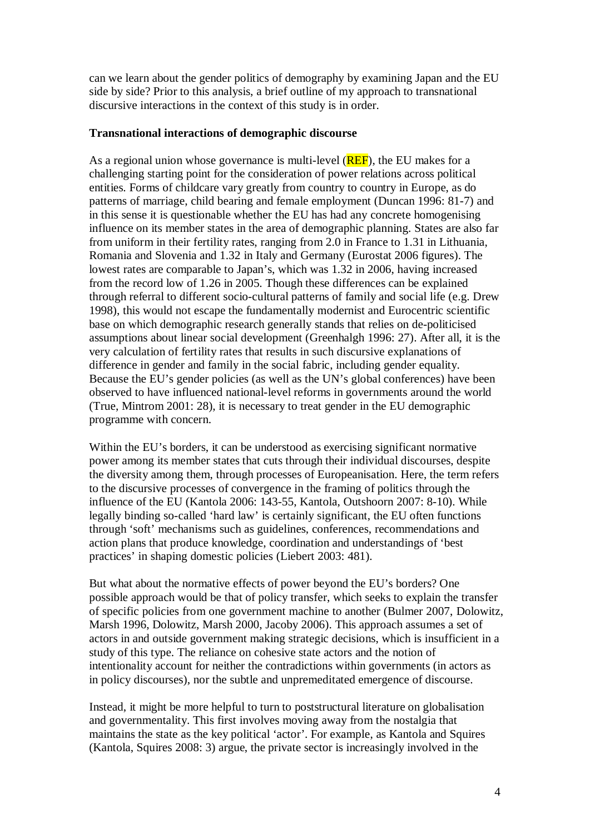can we learn about the gender politics of demography by examining Japan and the EU side by side? Prior to this analysis, a brief outline of my approach to transnational discursive interactions in the context of this study is in order.

## **Transnational interactions of demographic discourse**

As a regional union whose governance is multi-level (**REF**), the EU makes for a challenging starting point for the consideration of power relations across political entities. Forms of childcare vary greatly from country to country in Europe, as do patterns of marriage, child bearing and female employment (Duncan 1996: 81-7) and in this sense it is questionable whether the EU has had any concrete homogenising influence on its member states in the area of demographic planning. States are also far from uniform in their fertility rates, ranging from 2.0 in France to 1.31 in Lithuania, Romania and Slovenia and 1.32 in Italy and Germany (Eurostat 2006 figures). The lowest rates are comparable to Japan's, which was 1.32 in 2006, having increased from the record low of 1.26 in 2005. Though these differences can be explained through referral to different socio-cultural patterns of family and social life (e.g. Drew 1998), this would not escape the fundamentally modernist and Eurocentric scientific base on which demographic research generally stands that relies on de-politicised assumptions about linear social development (Greenhalgh 1996: 27). After all, it is the very calculation of fertility rates that results in such discursive explanations of difference in gender and family in the social fabric, including gender equality. Because the EU's gender policies (as well as the UN's global conferences) have been observed to have influenced national-level reforms in governments around the world (True, Mintrom 2001: 28), it is necessary to treat gender in the EU demographic programme with concern.

Within the EU's borders, it can be understood as exercising significant normative power among its member states that cuts through their individual discourses, despite the diversity among them, through processes of Europeanisation. Here, the term refers to the discursive processes of convergence in the framing of politics through the influence of the EU (Kantola 2006: 143-55, Kantola, Outshoorn 2007: 8-10). While legally binding so-called 'hard law' is certainly significant, the EU often functions through 'soft' mechanisms such as guidelines, conferences, recommendations and action plans that produce knowledge, coordination and understandings of 'best practices' in shaping domestic policies (Liebert 2003: 481).

But what about the normative effects of power beyond the EU's borders? One possible approach would be that of policy transfer, which seeks to explain the transfer of specific policies from one government machine to another (Bulmer 2007, Dolowitz, Marsh 1996, Dolowitz, Marsh 2000, Jacoby 2006). This approach assumes a set of actors in and outside government making strategic decisions, which is insufficient in a study of this type. The reliance on cohesive state actors and the notion of intentionality account for neither the contradictions within governments (in actors as in policy discourses), nor the subtle and unpremeditated emergence of discourse.

Instead, it might be more helpful to turn to poststructural literature on globalisation and governmentality. This first involves moving away from the nostalgia that maintains the state as the key political 'actor'. For example, as Kantola and Squires (Kantola, Squires 2008: 3) argue, the private sector is increasingly involved in the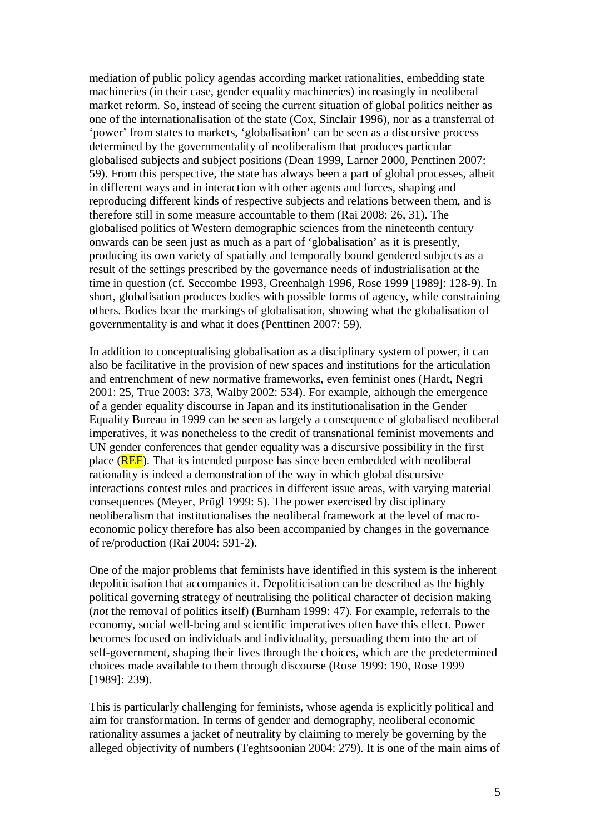mediation of public policy agendas according market rationalities, embedding state machineries (in their case, gender equality machineries) increasingly in neoliberal market reform. So, instead of seeing the current situation of global politics neither as one of the internationalisation of the state (Cox, Sinclair 1996), nor as a transferral of 'power' from states to markets, 'globalisation' can be seen as a discursive process determined by the governmentality of neoliberalism that produces particular globalised subjects and subject positions (Dean 1999, Larner 2000, Penttinen 2007: 59). From this perspective, the state has always been a part of global processes, albeit in different ways and in interaction with other agents and forces, shaping and reproducing different kinds of respective subjects and relations between them, and is therefore still in some measure accountable to them (Rai 2008: 26, 31). The globalised politics of Western demographic sciences from the nineteenth century onwards can be seen just as much as a part of 'globalisation' as it is presently, producing its own variety of spatially and temporally bound gendered subjects as a result of the settings prescribed by the governance needs of industrialisation at the time in question (cf. Seccombe 1993, Greenhalgh 1996, Rose 1999 [1989]: 128-9). In short, globalisation produces bodies with possible forms of agency, while constraining others. Bodies bear the markings of globalisation, showing what the globalisation of governmentality is and what it does (Penttinen 2007: 59).

In addition to conceptualising globalisation as a disciplinary system of power, it can also be facilitative in the provision of new spaces and institutions for the articulation and entrenchment of new normative frameworks, even feminist ones (Hardt, Negri 2001: 25, True 2003: 373, Walby 2002: 534). For example, although the emergence of a gender equality discourse in Japan and its institutionalisation in the Gender Equality Bureau in 1999 can be seen as largely a consequence of globalised neoliberal imperatives, it was nonetheless to the credit of transnational feminist movements and UN gender conferences that gender equality was a discursive possibility in the first place (REF). That its intended purpose has since been embedded with neoliberal rationality is indeed a demonstration of the way in which global discursive interactions contest rules and practices in different issue areas, with varying material consequences (Meyer, Prügl 1999: 5). The power exercised by disciplinary neoliberalism that institutionalises the neoliberal framework at the level of macroeconomic policy therefore has also been accompanied by changes in the governance of re/production (Rai 2004: 591-2).

One of the major problems that feminists have identified in this system is the inherent depoliticisation that accompanies it. Depoliticisation can be described as the highly political governing strategy of neutralising the political character of decision making (*not* the removal of politics itself) (Burnham 1999: 47). For example, referrals to the economy, social well-being and scientific imperatives often have this effect. Power becomes focused on individuals and individuality, persuading them into the art of self-government, shaping their lives through the choices, which are the predetermined choices made available to them through discourse (Rose 1999: 190, Rose 1999 [1989]: 239).

This is particularly challenging for feminists, whose agenda is explicitly political and aim for transformation. In terms of gender and demography, neoliberal economic rationality assumes a jacket of neutrality by claiming to merely be governing by the alleged objectivity of numbers (Teghtsoonian 2004: 279). It is one of the main aims of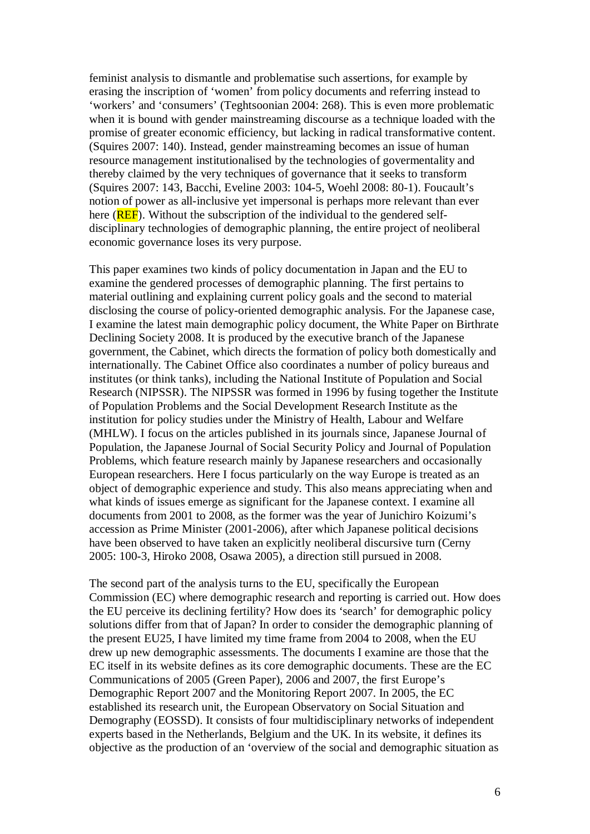feminist analysis to dismantle and problematise such assertions, for example by erasing the inscription of 'women' from policy documents and referring instead to 'workers' and 'consumers' (Teghtsoonian 2004: 268). This is even more problematic when it is bound with gender mainstreaming discourse as a technique loaded with the promise of greater economic efficiency, but lacking in radical transformative content. (Squires 2007: 140). Instead, gender mainstreaming becomes an issue of human resource management institutionalised by the technologies of govermentality and thereby claimed by the very techniques of governance that it seeks to transform (Squires 2007: 143, Bacchi, Eveline 2003: 104-5, Woehl 2008: 80-1). Foucault's notion of power as all-inclusive yet impersonal is perhaps more relevant than ever here (**REF**). Without the subscription of the individual to the gendered selfdisciplinary technologies of demographic planning, the entire project of neoliberal economic governance loses its very purpose.

This paper examines two kinds of policy documentation in Japan and the EU to examine the gendered processes of demographic planning. The first pertains to material outlining and explaining current policy goals and the second to material disclosing the course of policy-oriented demographic analysis. For the Japanese case, I examine the latest main demographic policy document, the White Paper on Birthrate Declining Society 2008. It is produced by the executive branch of the Japanese government, the Cabinet, which directs the formation of policy both domestically and internationally. The Cabinet Office also coordinates a number of policy bureaus and institutes (or think tanks), including the National Institute of Population and Social Research (NIPSSR). The NIPSSR was formed in 1996 by fusing together the Institute of Population Problems and the Social Development Research Institute as the institution for policy studies under the Ministry of Health, Labour and Welfare (MHLW). I focus on the articles published in its journals since, Japanese Journal of Population, the Japanese Journal of Social Security Policy and Journal of Population Problems, which feature research mainly by Japanese researchers and occasionally European researchers. Here I focus particularly on the way Europe is treated as an object of demographic experience and study. This also means appreciating when and what kinds of issues emerge as significant for the Japanese context. I examine all documents from 2001 to 2008, as the former was the year of Junichiro Koizumi's accession as Prime Minister (2001-2006), after which Japanese political decisions have been observed to have taken an explicitly neoliberal discursive turn (Cerny 2005: 100-3, Hiroko 2008, Osawa 2005), a direction still pursued in 2008.

The second part of the analysis turns to the EU, specifically the European Commission (EC) where demographic research and reporting is carried out. How does the EU perceive its declining fertility? How does its 'search' for demographic policy solutions differ from that of Japan? In order to consider the demographic planning of the present EU25, I have limited my time frame from 2004 to 2008, when the EU drew up new demographic assessments. The documents I examine are those that the EC itself in its website defines as its core demographic documents. These are the EC Communications of 2005 (Green Paper), 2006 and 2007, the first Europe's Demographic Report 2007 and the Monitoring Report 2007. In 2005, the EC established its research unit, the European Observatory on Social Situation and Demography (EOSSD). It consists of four multidisciplinary networks of independent experts based in the Netherlands, Belgium and the UK. In its website, it defines its objective as the production of an 'overview of the social and demographic situation as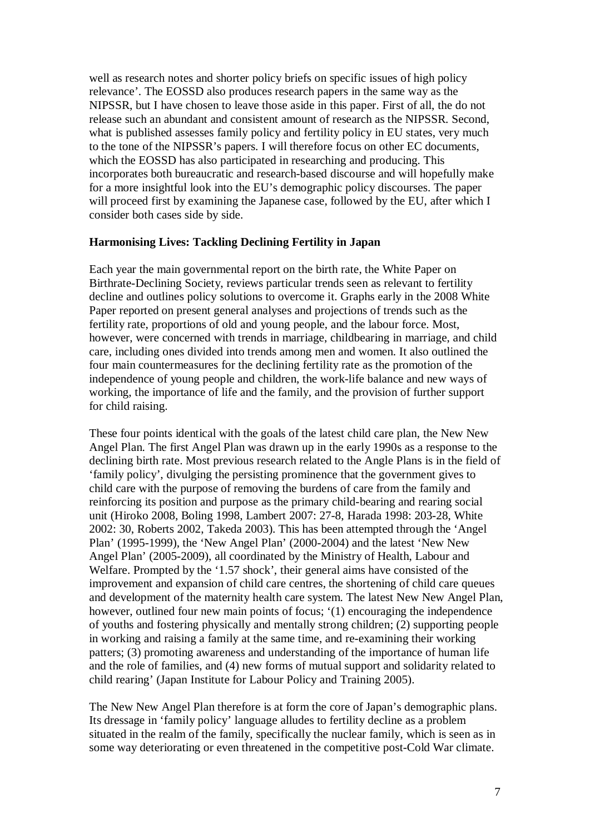well as research notes and shorter policy briefs on specific issues of high policy relevance'. The EOSSD also produces research papers in the same way as the NIPSSR, but I have chosen to leave those aside in this paper. First of all, the do not release such an abundant and consistent amount of research as the NIPSSR. Second, what is published assesses family policy and fertility policy in EU states, very much to the tone of the NIPSSR's papers. I will therefore focus on other EC documents, which the EOSSD has also participated in researching and producing. This incorporates both bureaucratic and research-based discourse and will hopefully make for a more insightful look into the EU's demographic policy discourses. The paper will proceed first by examining the Japanese case, followed by the EU, after which I consider both cases side by side.

#### **Harmonising Lives: Tackling Declining Fertility in Japan**

Each year the main governmental report on the birth rate, the White Paper on Birthrate-Declining Society, reviews particular trends seen as relevant to fertility decline and outlines policy solutions to overcome it. Graphs early in the 2008 White Paper reported on present general analyses and projections of trends such as the fertility rate, proportions of old and young people, and the labour force. Most, however, were concerned with trends in marriage, childbearing in marriage, and child care, including ones divided into trends among men and women. It also outlined the four main countermeasures for the declining fertility rate as the promotion of the independence of young people and children, the work-life balance and new ways of working, the importance of life and the family, and the provision of further support for child raising.

These four points identical with the goals of the latest child care plan, the New New Angel Plan. The first Angel Plan was drawn up in the early 1990s as a response to the declining birth rate. Most previous research related to the Angle Plans is in the field of 'family policy', divulging the persisting prominence that the government gives to child care with the purpose of removing the burdens of care from the family and reinforcing its position and purpose as the primary child-bearing and rearing social unit (Hiroko 2008, Boling 1998, Lambert 2007: 27-8, Harada 1998: 203-28, White 2002: 30, Roberts 2002, Takeda 2003). This has been attempted through the 'Angel Plan' (1995-1999), the 'New Angel Plan' (2000-2004) and the latest 'New New Angel Plan' (2005-2009), all coordinated by the Ministry of Health, Labour and Welfare. Prompted by the '1.57 shock', their general aims have consisted of the improvement and expansion of child care centres, the shortening of child care queues and development of the maternity health care system. The latest New New Angel Plan, however, outlined four new main points of focus; '(1) encouraging the independence of youths and fostering physically and mentally strong children; (2) supporting people in working and raising a family at the same time, and re-examining their working patters; (3) promoting awareness and understanding of the importance of human life and the role of families, and (4) new forms of mutual support and solidarity related to child rearing' (Japan Institute for Labour Policy and Training 2005).

The New New Angel Plan therefore is at form the core of Japan's demographic plans. Its dressage in 'family policy' language alludes to fertility decline as a problem situated in the realm of the family, specifically the nuclear family, which is seen as in some way deteriorating or even threatened in the competitive post-Cold War climate.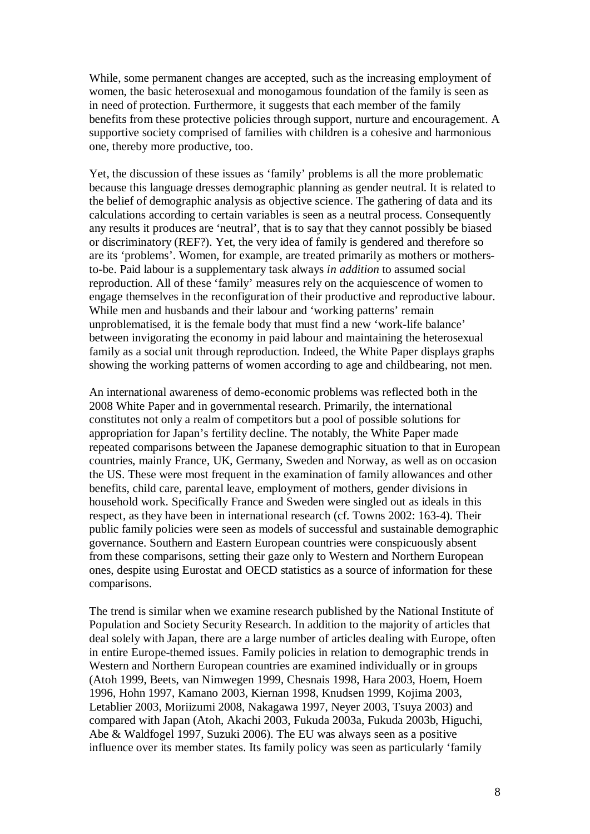While, some permanent changes are accepted, such as the increasing employment of women, the basic heterosexual and monogamous foundation of the family is seen as in need of protection. Furthermore, it suggests that each member of the family benefits from these protective policies through support, nurture and encouragement. A supportive society comprised of families with children is a cohesive and harmonious one, thereby more productive, too.

Yet, the discussion of these issues as 'family' problems is all the more problematic because this language dresses demographic planning as gender neutral. It is related to the belief of demographic analysis as objective science. The gathering of data and its calculations according to certain variables is seen as a neutral process. Consequently any results it produces are 'neutral', that is to say that they cannot possibly be biased or discriminatory (REF?). Yet, the very idea of family is gendered and therefore so are its 'problems'. Women, for example, are treated primarily as mothers or mothersto-be. Paid labour is a supplementary task always *in addition* to assumed social reproduction. All of these 'family' measures rely on the acquiescence of women to engage themselves in the reconfiguration of their productive and reproductive labour. While men and husbands and their labour and 'working patterns' remain unproblematised, it is the female body that must find a new 'work-life balance' between invigorating the economy in paid labour and maintaining the heterosexual family as a social unit through reproduction. Indeed, the White Paper displays graphs showing the working patterns of women according to age and childbearing, not men.

An international awareness of demo-economic problems was reflected both in the 2008 White Paper and in governmental research. Primarily, the international constitutes not only a realm of competitors but a pool of possible solutions for appropriation for Japan's fertility decline. The notably, the White Paper made repeated comparisons between the Japanese demographic situation to that in European countries, mainly France, UK, Germany, Sweden and Norway, as well as on occasion the US. These were most frequent in the examination of family allowances and other benefits, child care, parental leave, employment of mothers, gender divisions in household work. Specifically France and Sweden were singled out as ideals in this respect, as they have been in international research (cf. Towns 2002: 163-4). Their public family policies were seen as models of successful and sustainable demographic governance. Southern and Eastern European countries were conspicuously absent from these comparisons, setting their gaze only to Western and Northern European ones, despite using Eurostat and OECD statistics as a source of information for these comparisons.

The trend is similar when we examine research published by the National Institute of Population and Society Security Research. In addition to the majority of articles that deal solely with Japan, there are a large number of articles dealing with Europe, often in entire Europe-themed issues. Family policies in relation to demographic trends in Western and Northern European countries are examined individually or in groups (Atoh 1999, Beets, van Nimwegen 1999, Chesnais 1998, Hara 2003, Hoem, Hoem 1996, Hohn 1997, Kamano 2003, Kiernan 1998, Knudsen 1999, Kojima 2003, Letablier 2003, Moriizumi 2008, Nakagawa 1997, Neyer 2003, Tsuya 2003) and compared with Japan (Atoh, Akachi 2003, Fukuda 2003a, Fukuda 2003b, Higuchi, Abe & Waldfogel 1997, Suzuki 2006). The EU was always seen as a positive influence over its member states. Its family policy was seen as particularly 'family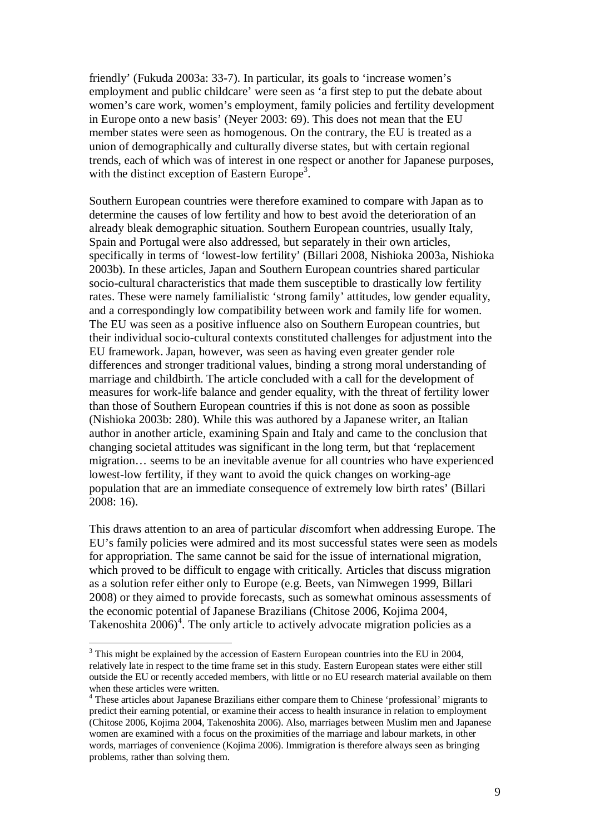friendly' (Fukuda 2003a: 33-7). In particular, its goals to 'increase women's employment and public childcare' were seen as 'a first step to put the debate about women's care work, women's employment, family policies and fertility development in Europe onto a new basis' (Neyer 2003: 69). This does not mean that the EU member states were seen as homogenous. On the contrary, the EU is treated as a union of demographically and culturally diverse states, but with certain regional trends, each of which was of interest in one respect or another for Japanese purposes, with the distinct exception of Eastern Europe<sup>3</sup>.

Southern European countries were therefore examined to compare with Japan as to determine the causes of low fertility and how to best avoid the deterioration of an already bleak demographic situation. Southern European countries, usually Italy, Spain and Portugal were also addressed, but separately in their own articles, specifically in terms of 'lowest-low fertility' (Billari 2008, Nishioka 2003a, Nishioka 2003b). In these articles, Japan and Southern European countries shared particular socio-cultural characteristics that made them susceptible to drastically low fertility rates. These were namely familialistic 'strong family' attitudes, low gender equality, and a correspondingly low compatibility between work and family life for women. The EU was seen as a positive influence also on Southern European countries, but their individual socio-cultural contexts constituted challenges for adjustment into the EU framework. Japan, however, was seen as having even greater gender role differences and stronger traditional values, binding a strong moral understanding of marriage and childbirth. The article concluded with a call for the development of measures for work-life balance and gender equality, with the threat of fertility lower than those of Southern European countries if this is not done as soon as possible (Nishioka 2003b: 280). While this was authored by a Japanese writer, an Italian author in another article, examining Spain and Italy and came to the conclusion that changing societal attitudes was significant in the long term, but that 'replacement migration… seems to be an inevitable avenue for all countries who have experienced lowest-low fertility, if they want to avoid the quick changes on working-age population that are an immediate consequence of extremely low birth rates' (Billari 2008: 16).

This draws attention to an area of particular *dis*comfort when addressing Europe. The EU's family policies were admired and its most successful states were seen as models for appropriation. The same cannot be said for the issue of international migration, which proved to be difficult to engage with critically. Articles that discuss migration as a solution refer either only to Europe (e.g. Beets, van Nimwegen 1999, Billari 2008) or they aimed to provide forecasts, such as somewhat ominous assessments of the economic potential of Japanese Brazilians (Chitose 2006, Kojima 2004, Takenoshita  $2006$ <sup>4</sup>. The only article to actively advocate migration policies as a

 $3$  This might be explained by the accession of Eastern European countries into the EU in 2004, relatively late in respect to the time frame set in this study. Eastern European states were either still outside the EU or recently acceded members, with little or no EU research material available on them when these articles were written.

<sup>&</sup>lt;sup>4</sup> These articles about Japanese Brazilians either compare them to Chinese 'professional' migrants to predict their earning potential, or examine their access to health insurance in relation to employment (Chitose 2006, Kojima 2004, Takenoshita 2006). Also, marriages between Muslim men and Japanese women are examined with a focus on the proximities of the marriage and labour markets, in other words, marriages of convenience (Kojima 2006). Immigration is therefore always seen as bringing problems, rather than solving them.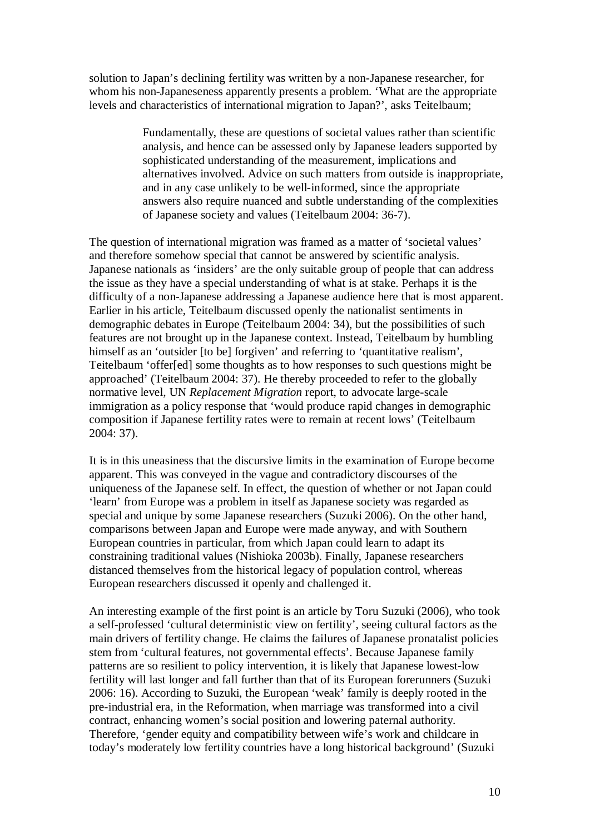solution to Japan's declining fertility was written by a non-Japanese researcher, for whom his non-Japaneseness apparently presents a problem. 'What are the appropriate levels and characteristics of international migration to Japan?', asks Teitelbaum;

> Fundamentally, these are questions of societal values rather than scientific analysis, and hence can be assessed only by Japanese leaders supported by sophisticated understanding of the measurement, implications and alternatives involved. Advice on such matters from outside is inappropriate, and in any case unlikely to be well-informed, since the appropriate answers also require nuanced and subtle understanding of the complexities of Japanese society and values (Teitelbaum 2004: 36-7).

The question of international migration was framed as a matter of 'societal values' and therefore somehow special that cannot be answered by scientific analysis. Japanese nationals as 'insiders' are the only suitable group of people that can address the issue as they have a special understanding of what is at stake. Perhaps it is the difficulty of a non-Japanese addressing a Japanese audience here that is most apparent. Earlier in his article, Teitelbaum discussed openly the nationalist sentiments in demographic debates in Europe (Teitelbaum 2004: 34), but the possibilities of such features are not brought up in the Japanese context. Instead, Teitelbaum by humbling himself as an 'outsider [to be] forgiven' and referring to 'quantitative realism', Teitelbaum 'offer[ed] some thoughts as to how responses to such questions might be approached' (Teitelbaum 2004: 37). He thereby proceeded to refer to the globally normative level, UN *Replacement Migration* report, to advocate large-scale immigration as a policy response that 'would produce rapid changes in demographic composition if Japanese fertility rates were to remain at recent lows' (Teitelbaum 2004: 37).

It is in this uneasiness that the discursive limits in the examination of Europe become apparent. This was conveyed in the vague and contradictory discourses of the uniqueness of the Japanese self. In effect, the question of whether or not Japan could 'learn' from Europe was a problem in itself as Japanese society was regarded as special and unique by some Japanese researchers (Suzuki 2006). On the other hand, comparisons between Japan and Europe were made anyway, and with Southern European countries in particular, from which Japan could learn to adapt its constraining traditional values (Nishioka 2003b). Finally, Japanese researchers distanced themselves from the historical legacy of population control, whereas European researchers discussed it openly and challenged it.

An interesting example of the first point is an article by Toru Suzuki (2006), who took a self-professed 'cultural deterministic view on fertility', seeing cultural factors as the main drivers of fertility change. He claims the failures of Japanese pronatalist policies stem from 'cultural features, not governmental effects'. Because Japanese family patterns are so resilient to policy intervention, it is likely that Japanese lowest-low fertility will last longer and fall further than that of its European forerunners (Suzuki 2006: 16). According to Suzuki, the European 'weak' family is deeply rooted in the pre-industrial era, in the Reformation, when marriage was transformed into a civil contract, enhancing women's social position and lowering paternal authority. Therefore, 'gender equity and compatibility between wife's work and childcare in today's moderately low fertility countries have a long historical background' (Suzuki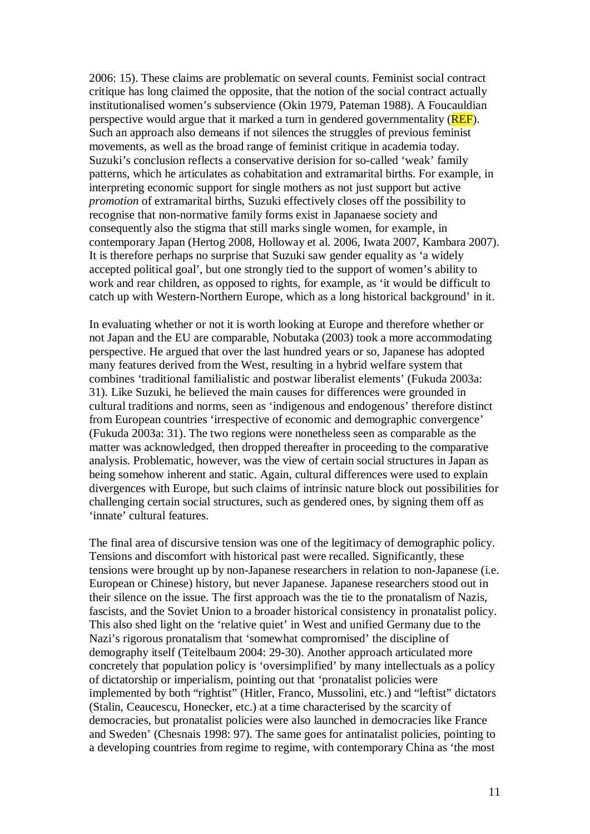2006: 15). These claims are problematic on several counts. Feminist social contract critique has long claimed the opposite, that the notion of the social contract actually institutionalised women's subservience (Okin 1979, Pateman 1988). A Foucauldian perspective would argue that it marked a turn in gendered governmentality (**REF**). Such an approach also demeans if not silences the struggles of previous feminist movements, as well as the broad range of feminist critique in academia today. Suzuki's conclusion reflects a conservative derision for so-called 'weak' family patterns, which he articulates as cohabitation and extramarital births. For example, in interpreting economic support for single mothers as not just support but active *promotion* of extramarital births, Suzuki effectively closes off the possibility to recognise that non-normative family forms exist in Japanaese society and consequently also the stigma that still marks single women, for example, in contemporary Japan (Hertog 2008, Holloway et al. 2006, Iwata 2007, Kambara 2007). It is therefore perhaps no surprise that Suzuki saw gender equality as 'a widely accepted political goal', but one strongly tied to the support of women's ability to work and rear children, as opposed to rights, for example, as 'it would be difficult to catch up with Western-Northern Europe, which as a long historical background' in it.

In evaluating whether or not it is worth looking at Europe and therefore whether or not Japan and the EU are comparable, Nobutaka (2003) took a more accommodating perspective. He argued that over the last hundred years or so, Japanese has adopted many features derived from the West, resulting in a hybrid welfare system that combines 'traditional familialistic and postwar liberalist elements' (Fukuda 2003a: 31). Like Suzuki, he believed the main causes for differences were grounded in cultural traditions and norms, seen as 'indigenous and endogenous' therefore distinct from European countries 'irrespective of economic and demographic convergence' (Fukuda 2003a: 31). The two regions were nonetheless seen as comparable as the matter was acknowledged, then dropped thereafter in proceeding to the comparative analysis. Problematic, however, was the view of certain social structures in Japan as being somehow inherent and static. Again, cultural differences were used to explain divergences with Europe, but such claims of intrinsic nature block out possibilities for challenging certain social structures, such as gendered ones, by signing them off as 'innate' cultural features.

The final area of discursive tension was one of the legitimacy of demographic policy. Tensions and discomfort with historical past were recalled. Significantly, these tensions were brought up by non-Japanese researchers in relation to non-Japanese (i.e. European or Chinese) history, but never Japanese. Japanese researchers stood out in their silence on the issue. The first approach was the tie to the pronatalism of Nazis, fascists, and the Soviet Union to a broader historical consistency in pronatalist policy. This also shed light on the 'relative quiet' in West and unified Germany due to the Nazi's rigorous pronatalism that 'somewhat compromised' the discipline of demography itself (Teitelbaum 2004: 29-30). Another approach articulated more concretely that population policy is 'oversimplified' by many intellectuals as a policy of dictatorship or imperialism, pointing out that 'pronatalist policies were implemented by both "rightist" (Hitler, Franco, Mussolini, etc.) and "leftist" dictators (Stalin, Ceaucescu, Honecker, etc.) at a time characterised by the scarcity of democracies, but pronatalist policies were also launched in democracies like France and Sweden' (Chesnais 1998: 97). The same goes for antinatalist policies, pointing to a developing countries from regime to regime, with contemporary China as 'the most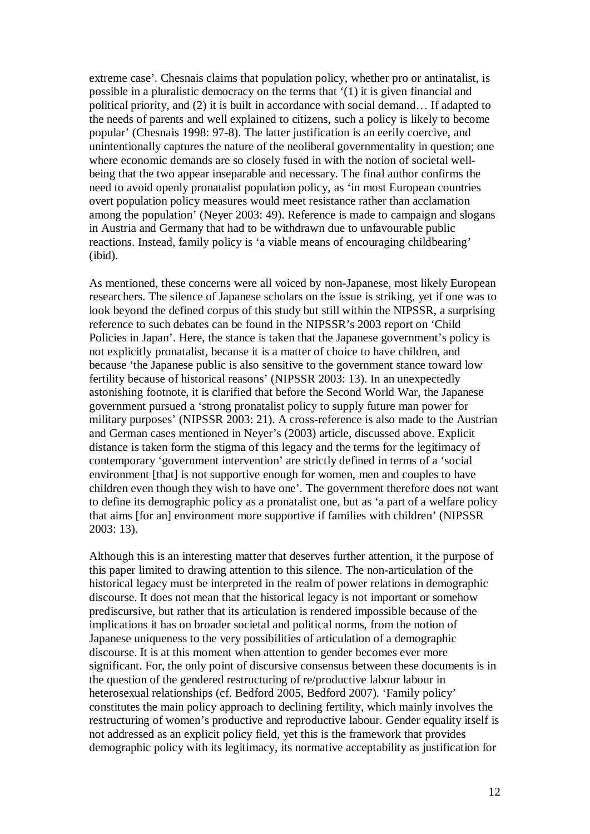extreme case'. Chesnais claims that population policy, whether pro or antinatalist, is possible in a pluralistic democracy on the terms that '(1) it is given financial and political priority, and (2) it is built in accordance with social demand… If adapted to the needs of parents and well explained to citizens, such a policy is likely to become popular' (Chesnais 1998: 97-8). The latter justification is an eerily coercive, and unintentionally captures the nature of the neoliberal governmentality in question; one where economic demands are so closely fused in with the notion of societal wellbeing that the two appear inseparable and necessary. The final author confirms the need to avoid openly pronatalist population policy, as 'in most European countries overt population policy measures would meet resistance rather than acclamation among the population' (Neyer 2003: 49). Reference is made to campaign and slogans in Austria and Germany that had to be withdrawn due to unfavourable public reactions. Instead, family policy is 'a viable means of encouraging childbearing' (ibid).

As mentioned, these concerns were all voiced by non-Japanese, most likely European researchers. The silence of Japanese scholars on the issue is striking, yet if one was to look beyond the defined corpus of this study but still within the NIPSSR, a surprising reference to such debates can be found in the NIPSSR's 2003 report on 'Child Policies in Japan'. Here, the stance is taken that the Japanese government's policy is not explicitly pronatalist, because it is a matter of choice to have children, and because 'the Japanese public is also sensitive to the government stance toward low fertility because of historical reasons' (NIPSSR 2003: 13). In an unexpectedly astonishing footnote, it is clarified that before the Second World War, the Japanese government pursued a 'strong pronatalist policy to supply future man power for military purposes' (NIPSSR 2003: 21). A cross-reference is also made to the Austrian and German cases mentioned in Neyer's (2003) article, discussed above. Explicit distance is taken form the stigma of this legacy and the terms for the legitimacy of contemporary 'government intervention' are strictly defined in terms of a 'social environment [that] is not supportive enough for women, men and couples to have children even though they wish to have one'. The government therefore does not want to define its demographic policy as a pronatalist one, but as 'a part of a welfare policy that aims [for an] environment more supportive if families with children' (NIPSSR 2003: 13).

Although this is an interesting matter that deserves further attention, it the purpose of this paper limited to drawing attention to this silence. The non-articulation of the historical legacy must be interpreted in the realm of power relations in demographic discourse. It does not mean that the historical legacy is not important or somehow prediscursive, but rather that its articulation is rendered impossible because of the implications it has on broader societal and political norms, from the notion of Japanese uniqueness to the very possibilities of articulation of a demographic discourse. It is at this moment when attention to gender becomes ever more significant. For, the only point of discursive consensus between these documents is in the question of the gendered restructuring of re/productive labour labour in heterosexual relationships (cf. Bedford 2005, Bedford 2007). 'Family policy' constitutes the main policy approach to declining fertility, which mainly involves the restructuring of women's productive and reproductive labour. Gender equality itself is not addressed as an explicit policy field, yet this is the framework that provides demographic policy with its legitimacy, its normative acceptability as justification for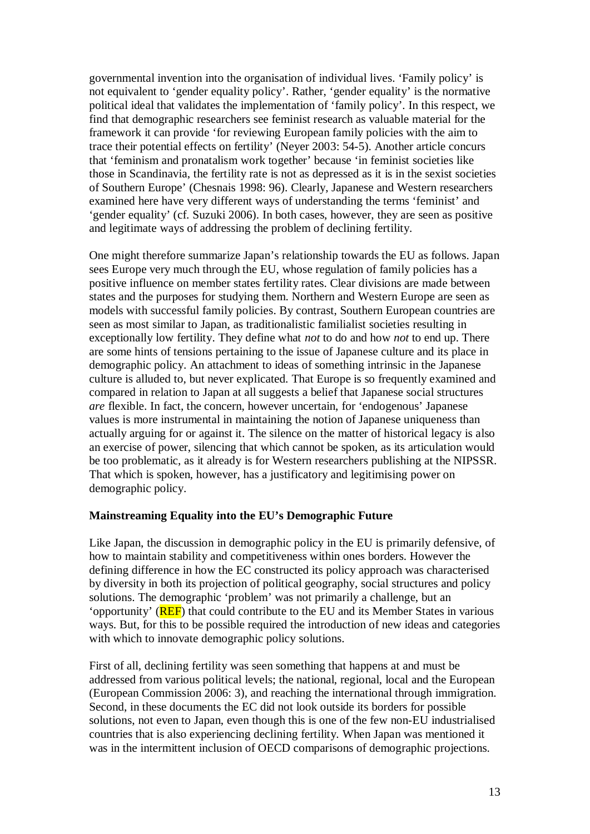governmental invention into the organisation of individual lives. 'Family policy' is not equivalent to 'gender equality policy'. Rather, 'gender equality' is the normative political ideal that validates the implementation of 'family policy'. In this respect, we find that demographic researchers see feminist research as valuable material for the framework it can provide 'for reviewing European family policies with the aim to trace their potential effects on fertility' (Neyer 2003: 54-5). Another article concurs that 'feminism and pronatalism work together' because 'in feminist societies like those in Scandinavia, the fertility rate is not as depressed as it is in the sexist societies of Southern Europe' (Chesnais 1998: 96). Clearly, Japanese and Western researchers examined here have very different ways of understanding the terms 'feminist' and 'gender equality' (cf. Suzuki 2006). In both cases, however, they are seen as positive and legitimate ways of addressing the problem of declining fertility.

One might therefore summarize Japan's relationship towards the EU as follows. Japan sees Europe very much through the EU, whose regulation of family policies has a positive influence on member states fertility rates. Clear divisions are made between states and the purposes for studying them. Northern and Western Europe are seen as models with successful family policies. By contrast, Southern European countries are seen as most similar to Japan, as traditionalistic familialist societies resulting in exceptionally low fertility. They define what *not* to do and how *not* to end up. There are some hints of tensions pertaining to the issue of Japanese culture and its place in demographic policy. An attachment to ideas of something intrinsic in the Japanese culture is alluded to, but never explicated. That Europe is so frequently examined and compared in relation to Japan at all suggests a belief that Japanese social structures *are* flexible. In fact, the concern, however uncertain, for 'endogenous' Japanese values is more instrumental in maintaining the notion of Japanese uniqueness than actually arguing for or against it. The silence on the matter of historical legacy is also an exercise of power, silencing that which cannot be spoken, as its articulation would be too problematic, as it already is for Western researchers publishing at the NIPSSR. That which is spoken, however, has a justificatory and legitimising power on demographic policy.

### **Mainstreaming Equality into the EU's Demographic Future**

Like Japan, the discussion in demographic policy in the EU is primarily defensive, of how to maintain stability and competitiveness within ones borders. However the defining difference in how the EC constructed its policy approach was characterised by diversity in both its projection of political geography, social structures and policy solutions. The demographic 'problem' was not primarily a challenge, but an 'opportunity' (REF) that could contribute to the EU and its Member States in various ways. But, for this to be possible required the introduction of new ideas and categories with which to innovate demographic policy solutions.

First of all, declining fertility was seen something that happens at and must be addressed from various political levels; the national, regional, local and the European (European Commission 2006: 3), and reaching the international through immigration. Second, in these documents the EC did not look outside its borders for possible solutions, not even to Japan, even though this is one of the few non-EU industrialised countries that is also experiencing declining fertility. When Japan was mentioned it was in the intermittent inclusion of OECD comparisons of demographic projections.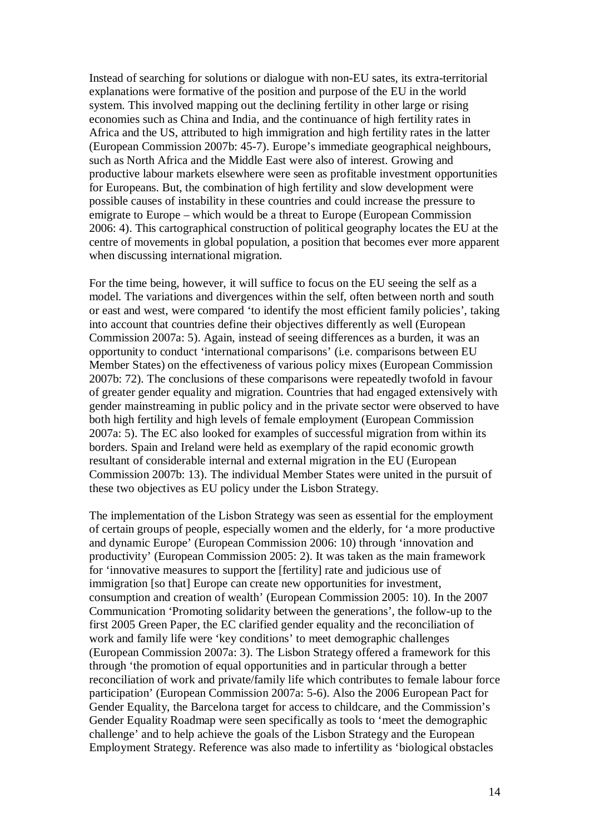Instead of searching for solutions or dialogue with non-EU sates, its extra-territorial explanations were formative of the position and purpose of the EU in the world system. This involved mapping out the declining fertility in other large or rising economies such as China and India, and the continuance of high fertility rates in Africa and the US, attributed to high immigration and high fertility rates in the latter (European Commission 2007b: 45-7). Europe's immediate geographical neighbours, such as North Africa and the Middle East were also of interest. Growing and productive labour markets elsewhere were seen as profitable investment opportunities for Europeans. But, the combination of high fertility and slow development were possible causes of instability in these countries and could increase the pressure to emigrate to Europe – which would be a threat to Europe (European Commission 2006: 4). This cartographical construction of political geography locates the EU at the centre of movements in global population, a position that becomes ever more apparent when discussing international migration.

For the time being, however, it will suffice to focus on the EU seeing the self as a model. The variations and divergences within the self, often between north and south or east and west, were compared 'to identify the most efficient family policies', taking into account that countries define their objectives differently as well (European Commission 2007a: 5). Again, instead of seeing differences as a burden, it was an opportunity to conduct 'international comparisons' (i.e. comparisons between EU Member States) on the effectiveness of various policy mixes (European Commission 2007b: 72). The conclusions of these comparisons were repeatedly twofold in favour of greater gender equality and migration. Countries that had engaged extensively with gender mainstreaming in public policy and in the private sector were observed to have both high fertility and high levels of female employment (European Commission 2007a: 5). The EC also looked for examples of successful migration from within its borders. Spain and Ireland were held as exemplary of the rapid economic growth resultant of considerable internal and external migration in the EU (European Commission 2007b: 13). The individual Member States were united in the pursuit of these two objectives as EU policy under the Lisbon Strategy.

The implementation of the Lisbon Strategy was seen as essential for the employment of certain groups of people, especially women and the elderly, for 'a more productive and dynamic Europe' (European Commission 2006: 10) through 'innovation and productivity' (European Commission 2005: 2). It was taken as the main framework for 'innovative measures to support the [fertility] rate and judicious use of immigration [so that] Europe can create new opportunities for investment, consumption and creation of wealth' (European Commission 2005: 10). In the 2007 Communication 'Promoting solidarity between the generations', the follow-up to the first 2005 Green Paper, the EC clarified gender equality and the reconciliation of work and family life were 'key conditions' to meet demographic challenges (European Commission 2007a: 3). The Lisbon Strategy offered a framework for this through 'the promotion of equal opportunities and in particular through a better reconciliation of work and private/family life which contributes to female labour force participation' (European Commission 2007a: 5-6). Also the 2006 European Pact for Gender Equality, the Barcelona target for access to childcare, and the Commission's Gender Equality Roadmap were seen specifically as tools to 'meet the demographic challenge' and to help achieve the goals of the Lisbon Strategy and the European Employment Strategy. Reference was also made to infertility as 'biological obstacles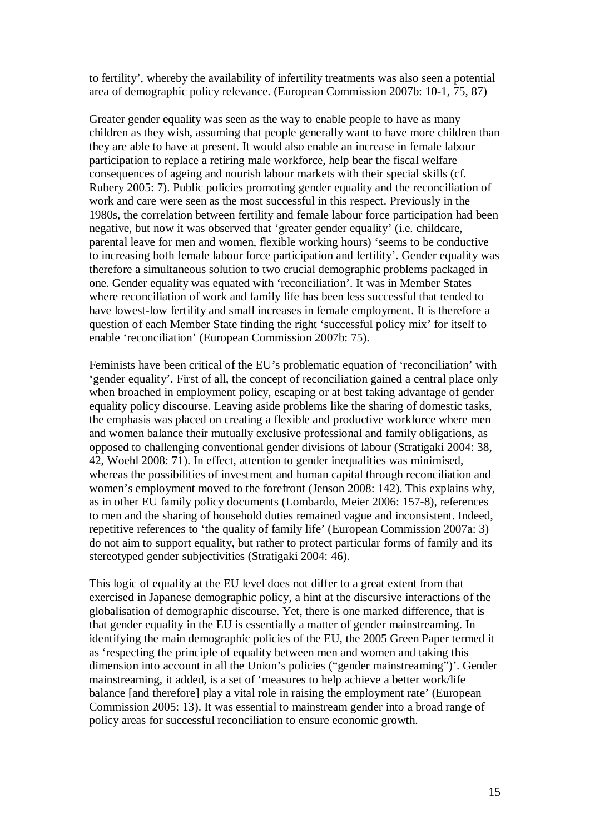to fertility', whereby the availability of infertility treatments was also seen a potential area of demographic policy relevance. (European Commission 2007b: 10-1, 75, 87)

Greater gender equality was seen as the way to enable people to have as many children as they wish, assuming that people generally want to have more children than they are able to have at present. It would also enable an increase in female labour participation to replace a retiring male workforce, help bear the fiscal welfare consequences of ageing and nourish labour markets with their special skills (cf. Rubery 2005: 7). Public policies promoting gender equality and the reconciliation of work and care were seen as the most successful in this respect. Previously in the 1980s, the correlation between fertility and female labour force participation had been negative, but now it was observed that 'greater gender equality' (i.e. childcare, parental leave for men and women, flexible working hours) 'seems to be conductive to increasing both female labour force participation and fertility'. Gender equality was therefore a simultaneous solution to two crucial demographic problems packaged in one. Gender equality was equated with 'reconciliation'. It was in Member States where reconciliation of work and family life has been less successful that tended to have lowest-low fertility and small increases in female employment. It is therefore a question of each Member State finding the right 'successful policy mix' for itself to enable 'reconciliation' (European Commission 2007b: 75).

Feminists have been critical of the EU's problematic equation of 'reconciliation' with 'gender equality'. First of all, the concept of reconciliation gained a central place only when broached in employment policy, escaping or at best taking advantage of gender equality policy discourse. Leaving aside problems like the sharing of domestic tasks, the emphasis was placed on creating a flexible and productive workforce where men and women balance their mutually exclusive professional and family obligations, as opposed to challenging conventional gender divisions of labour (Stratigaki 2004: 38, 42, Woehl 2008: 71). In effect, attention to gender inequalities was minimised, whereas the possibilities of investment and human capital through reconciliation and women's employment moved to the forefront (Jenson 2008: 142). This explains why, as in other EU family policy documents (Lombardo, Meier 2006: 157-8), references to men and the sharing of household duties remained vague and inconsistent. Indeed, repetitive references to 'the quality of family life' (European Commission 2007a: 3) do not aim to support equality, but rather to protect particular forms of family and its stereotyped gender subjectivities (Stratigaki 2004: 46).

This logic of equality at the EU level does not differ to a great extent from that exercised in Japanese demographic policy, a hint at the discursive interactions of the globalisation of demographic discourse. Yet, there is one marked difference, that is that gender equality in the EU is essentially a matter of gender mainstreaming. In identifying the main demographic policies of the EU, the 2005 Green Paper termed it as 'respecting the principle of equality between men and women and taking this dimension into account in all the Union's policies ("gender mainstreaming")'. Gender mainstreaming, it added, is a set of 'measures to help achieve a better work/life balance [and therefore] play a vital role in raising the employment rate' (European Commission 2005: 13). It was essential to mainstream gender into a broad range of policy areas for successful reconciliation to ensure economic growth.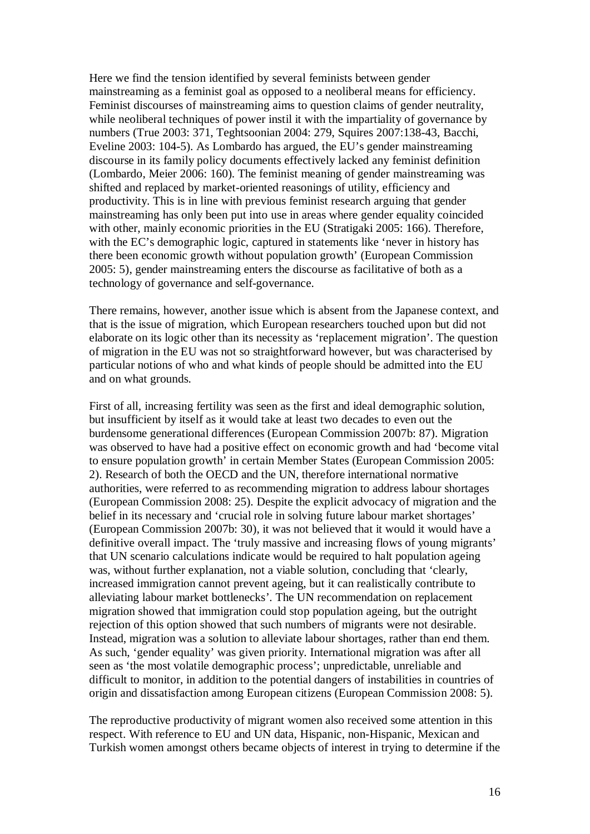Here we find the tension identified by several feminists between gender mainstreaming as a feminist goal as opposed to a neoliberal means for efficiency. Feminist discourses of mainstreaming aims to question claims of gender neutrality, while neoliberal techniques of power instil it with the impartiality of governance by numbers (True 2003: 371, Teghtsoonian 2004: 279, Squires 2007:138-43, Bacchi, Eveline 2003: 104-5). As Lombardo has argued, the EU's gender mainstreaming discourse in its family policy documents effectively lacked any feminist definition (Lombardo, Meier 2006: 160). The feminist meaning of gender mainstreaming was shifted and replaced by market-oriented reasonings of utility, efficiency and productivity. This is in line with previous feminist research arguing that gender mainstreaming has only been put into use in areas where gender equality coincided with other, mainly economic priorities in the EU (Stratigaki 2005: 166). Therefore, with the EC's demographic logic, captured in statements like 'never in history has there been economic growth without population growth' (European Commission 2005: 5), gender mainstreaming enters the discourse as facilitative of both as a technology of governance and self-governance.

There remains, however, another issue which is absent from the Japanese context, and that is the issue of migration, which European researchers touched upon but did not elaborate on its logic other than its necessity as 'replacement migration'. The question of migration in the EU was not so straightforward however, but was characterised by particular notions of who and what kinds of people should be admitted into the EU and on what grounds.

First of all, increasing fertility was seen as the first and ideal demographic solution, but insufficient by itself as it would take at least two decades to even out the burdensome generational differences (European Commission 2007b: 87). Migration was observed to have had a positive effect on economic growth and had 'become vital to ensure population growth' in certain Member States (European Commission 2005: 2). Research of both the OECD and the UN, therefore international normative authorities, were referred to as recommending migration to address labour shortages (European Commission 2008: 25). Despite the explicit advocacy of migration and the belief in its necessary and 'crucial role in solving future labour market shortages' (European Commission 2007b: 30), it was not believed that it would it would have a definitive overall impact. The 'truly massive and increasing flows of young migrants' that UN scenario calculations indicate would be required to halt population ageing was, without further explanation, not a viable solution, concluding that 'clearly, increased immigration cannot prevent ageing, but it can realistically contribute to alleviating labour market bottlenecks'. The UN recommendation on replacement migration showed that immigration could stop population ageing, but the outright rejection of this option showed that such numbers of migrants were not desirable. Instead, migration was a solution to alleviate labour shortages, rather than end them. As such, 'gender equality' was given priority. International migration was after all seen as 'the most volatile demographic process'; unpredictable, unreliable and difficult to monitor, in addition to the potential dangers of instabilities in countries of origin and dissatisfaction among European citizens (European Commission 2008: 5).

The reproductive productivity of migrant women also received some attention in this respect. With reference to EU and UN data, Hispanic, non-Hispanic, Mexican and Turkish women amongst others became objects of interest in trying to determine if the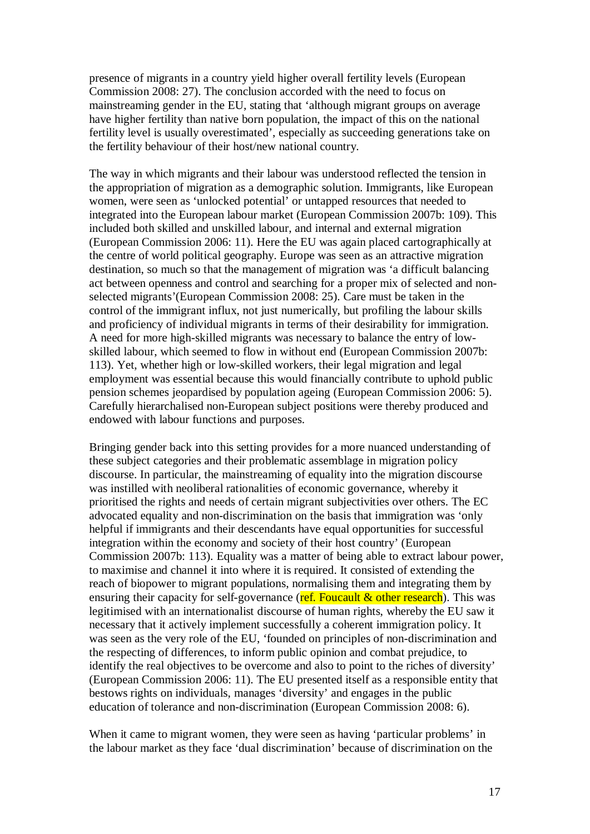presence of migrants in a country yield higher overall fertility levels (European Commission 2008: 27). The conclusion accorded with the need to focus on mainstreaming gender in the EU, stating that 'although migrant groups on average have higher fertility than native born population, the impact of this on the national fertility level is usually overestimated', especially as succeeding generations take on the fertility behaviour of their host/new national country.

The way in which migrants and their labour was understood reflected the tension in the appropriation of migration as a demographic solution. Immigrants, like European women, were seen as 'unlocked potential' or untapped resources that needed to integrated into the European labour market (European Commission 2007b: 109). This included both skilled and unskilled labour, and internal and external migration (European Commission 2006: 11). Here the EU was again placed cartographically at the centre of world political geography. Europe was seen as an attractive migration destination, so much so that the management of migration was 'a difficult balancing act between openness and control and searching for a proper mix of selected and nonselected migrants'(European Commission 2008: 25). Care must be taken in the control of the immigrant influx, not just numerically, but profiling the labour skills and proficiency of individual migrants in terms of their desirability for immigration. A need for more high-skilled migrants was necessary to balance the entry of lowskilled labour, which seemed to flow in without end (European Commission 2007b: 113). Yet, whether high or low-skilled workers, their legal migration and legal employment was essential because this would financially contribute to uphold public pension schemes jeopardised by population ageing (European Commission 2006: 5). Carefully hierarchalised non-European subject positions were thereby produced and endowed with labour functions and purposes.

Bringing gender back into this setting provides for a more nuanced understanding of these subject categories and their problematic assemblage in migration policy discourse. In particular, the mainstreaming of equality into the migration discourse was instilled with neoliberal rationalities of economic governance, whereby it prioritised the rights and needs of certain migrant subjectivities over others. The EC advocated equality and non-discrimination on the basis that immigration was 'only helpful if immigrants and their descendants have equal opportunities for successful integration within the economy and society of their host country' (European Commission 2007b: 113). Equality was a matter of being able to extract labour power, to maximise and channel it into where it is required. It consisted of extending the reach of biopower to migrant populations, normalising them and integrating them by ensuring their capacity for self-governance ( $ref.$  Foucault  $\&$  other research). This was legitimised with an internationalist discourse of human rights, whereby the EU saw it necessary that it actively implement successfully a coherent immigration policy. It was seen as the very role of the EU, 'founded on principles of non-discrimination and the respecting of differences, to inform public opinion and combat prejudice, to identify the real objectives to be overcome and also to point to the riches of diversity' (European Commission 2006: 11). The EU presented itself as a responsible entity that bestows rights on individuals, manages 'diversity' and engages in the public education of tolerance and non-discrimination (European Commission 2008: 6).

When it came to migrant women, they were seen as having 'particular problems' in the labour market as they face 'dual discrimination' because of discrimination on the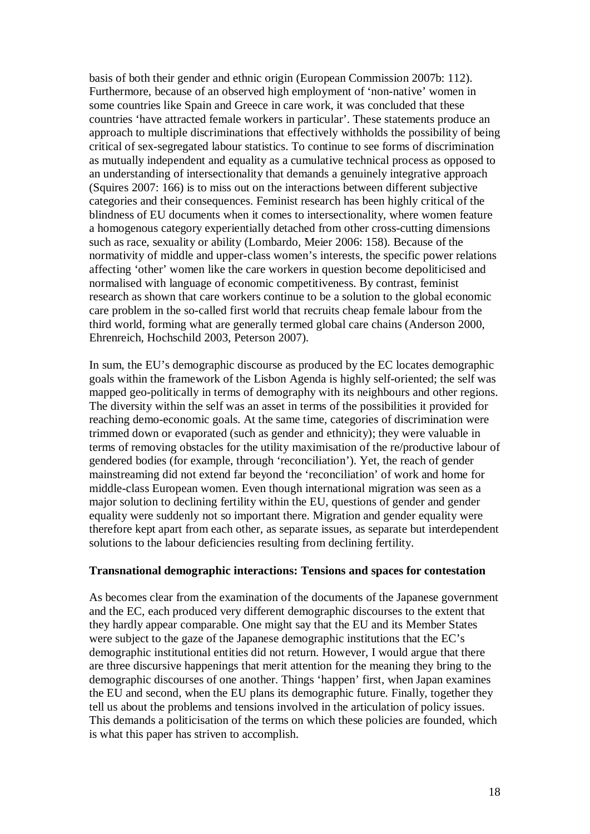basis of both their gender and ethnic origin (European Commission 2007b: 112). Furthermore, because of an observed high employment of 'non-native' women in some countries like Spain and Greece in care work, it was concluded that these countries 'have attracted female workers in particular'. These statements produce an approach to multiple discriminations that effectively withholds the possibility of being critical of sex-segregated labour statistics. To continue to see forms of discrimination as mutually independent and equality as a cumulative technical process as opposed to an understanding of intersectionality that demands a genuinely integrative approach (Squires 2007: 166) is to miss out on the interactions between different subjective categories and their consequences. Feminist research has been highly critical of the blindness of EU documents when it comes to intersectionality, where women feature a homogenous category experientially detached from other cross-cutting dimensions such as race, sexuality or ability (Lombardo, Meier 2006: 158). Because of the normativity of middle and upper-class women's interests, the specific power relations affecting 'other' women like the care workers in question become depoliticised and normalised with language of economic competitiveness. By contrast, feminist research as shown that care workers continue to be a solution to the global economic care problem in the so-called first world that recruits cheap female labour from the third world, forming what are generally termed global care chains (Anderson 2000, Ehrenreich, Hochschild 2003, Peterson 2007).

In sum, the EU's demographic discourse as produced by the EC locates demographic goals within the framework of the Lisbon Agenda is highly self-oriented; the self was mapped geo-politically in terms of demography with its neighbours and other regions. The diversity within the self was an asset in terms of the possibilities it provided for reaching demo-economic goals. At the same time, categories of discrimination were trimmed down or evaporated (such as gender and ethnicity); they were valuable in terms of removing obstacles for the utility maximisation of the re/productive labour of gendered bodies (for example, through 'reconciliation'). Yet, the reach of gender mainstreaming did not extend far beyond the 'reconciliation' of work and home for middle-class European women. Even though international migration was seen as a major solution to declining fertility within the EU, questions of gender and gender equality were suddenly not so important there. Migration and gender equality were therefore kept apart from each other, as separate issues, as separate but interdependent solutions to the labour deficiencies resulting from declining fertility.

### **Transnational demographic interactions: Tensions and spaces for contestation**

As becomes clear from the examination of the documents of the Japanese government and the EC, each produced very different demographic discourses to the extent that they hardly appear comparable. One might say that the EU and its Member States were subject to the gaze of the Japanese demographic institutions that the EC's demographic institutional entities did not return. However, I would argue that there are three discursive happenings that merit attention for the meaning they bring to the demographic discourses of one another. Things 'happen' first, when Japan examines the EU and second, when the EU plans its demographic future. Finally, together they tell us about the problems and tensions involved in the articulation of policy issues. This demands a politicisation of the terms on which these policies are founded, which is what this paper has striven to accomplish.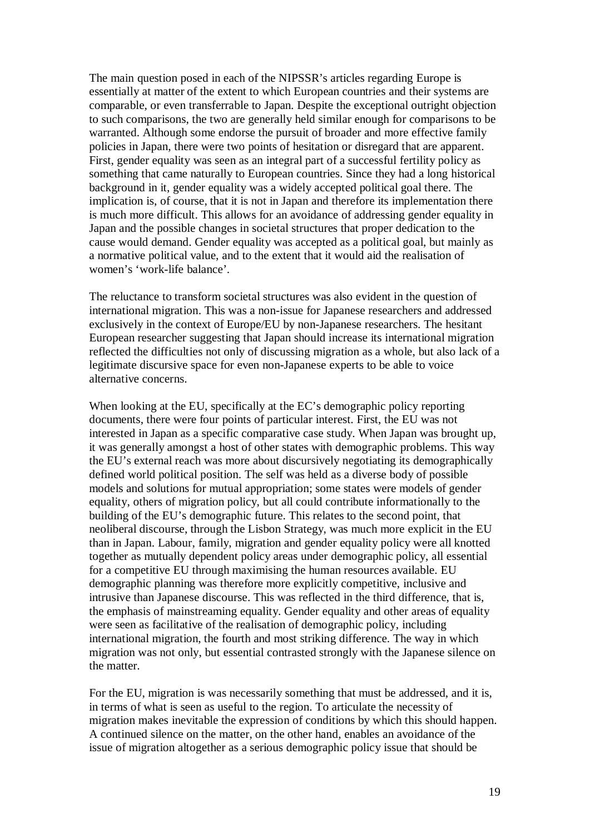The main question posed in each of the NIPSSR's articles regarding Europe is essentially at matter of the extent to which European countries and their systems are comparable, or even transferrable to Japan. Despite the exceptional outright objection to such comparisons, the two are generally held similar enough for comparisons to be warranted. Although some endorse the pursuit of broader and more effective family policies in Japan, there were two points of hesitation or disregard that are apparent. First, gender equality was seen as an integral part of a successful fertility policy as something that came naturally to European countries. Since they had a long historical background in it, gender equality was a widely accepted political goal there. The implication is, of course, that it is not in Japan and therefore its implementation there is much more difficult. This allows for an avoidance of addressing gender equality in Japan and the possible changes in societal structures that proper dedication to the cause would demand. Gender equality was accepted as a political goal, but mainly as a normative political value, and to the extent that it would aid the realisation of women's 'work-life balance'.

The reluctance to transform societal structures was also evident in the question of international migration. This was a non-issue for Japanese researchers and addressed exclusively in the context of Europe/EU by non-Japanese researchers. The hesitant European researcher suggesting that Japan should increase its international migration reflected the difficulties not only of discussing migration as a whole, but also lack of a legitimate discursive space for even non-Japanese experts to be able to voice alternative concerns.

When looking at the EU, specifically at the EC's demographic policy reporting documents, there were four points of particular interest. First, the EU was not interested in Japan as a specific comparative case study. When Japan was brought up, it was generally amongst a host of other states with demographic problems. This way the EU's external reach was more about discursively negotiating its demographically defined world political position. The self was held as a diverse body of possible models and solutions for mutual appropriation; some states were models of gender equality, others of migration policy, but all could contribute informationally to the building of the EU's demographic future. This relates to the second point, that neoliberal discourse, through the Lisbon Strategy, was much more explicit in the EU than in Japan. Labour, family, migration and gender equality policy were all knotted together as mutually dependent policy areas under demographic policy, all essential for a competitive EU through maximising the human resources available. EU demographic planning was therefore more explicitly competitive, inclusive and intrusive than Japanese discourse. This was reflected in the third difference, that is, the emphasis of mainstreaming equality. Gender equality and other areas of equality were seen as facilitative of the realisation of demographic policy, including international migration, the fourth and most striking difference. The way in which migration was not only, but essential contrasted strongly with the Japanese silence on the matter.

For the EU, migration is was necessarily something that must be addressed, and it is, in terms of what is seen as useful to the region. To articulate the necessity of migration makes inevitable the expression of conditions by which this should happen. A continued silence on the matter, on the other hand, enables an avoidance of the issue of migration altogether as a serious demographic policy issue that should be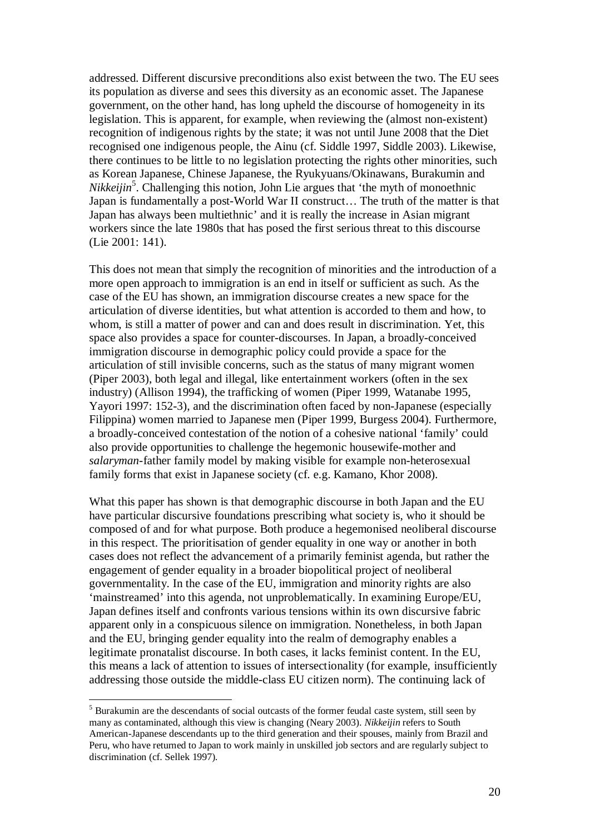addressed. Different discursive preconditions also exist between the two. The EU sees its population as diverse and sees this diversity as an economic asset. The Japanese government, on the other hand, has long upheld the discourse of homogeneity in its legislation. This is apparent, for example, when reviewing the (almost non-existent) recognition of indigenous rights by the state; it was not until June 2008 that the Diet recognised one indigenous people, the Ainu (cf. Siddle 1997, Siddle 2003). Likewise, there continues to be little to no legislation protecting the rights other minorities, such as Korean Japanese, Chinese Japanese, the Ryukyuans/Okinawans, Burakumin and Nikkeijin<sup>5</sup>. Challenging this notion, John Lie argues that 'the myth of monoethnic Japan is fundamentally a post-World War II construct… The truth of the matter is that Japan has always been multiethnic' and it is really the increase in Asian migrant workers since the late 1980s that has posed the first serious threat to this discourse (Lie 2001: 141).

This does not mean that simply the recognition of minorities and the introduction of a more open approach to immigration is an end in itself or sufficient as such. As the case of the EU has shown, an immigration discourse creates a new space for the articulation of diverse identities, but what attention is accorded to them and how, to whom, is still a matter of power and can and does result in discrimination. Yet, this space also provides a space for counter-discourses. In Japan, a broadly-conceived immigration discourse in demographic policy could provide a space for the articulation of still invisible concerns, such as the status of many migrant women (Piper 2003), both legal and illegal, like entertainment workers (often in the sex industry) (Allison 1994), the trafficking of women (Piper 1999, Watanabe 1995, Yayori 1997: 152-3), and the discrimination often faced by non-Japanese (especially Filippina) women married to Japanese men (Piper 1999, Burgess 2004). Furthermore, a broadly-conceived contestation of the notion of a cohesive national 'family' could also provide opportunities to challenge the hegemonic housewife-mother and *salaryman*-father family model by making visible for example non-heterosexual family forms that exist in Japanese society (cf. e.g. Kamano, Khor 2008).

What this paper has shown is that demographic discourse in both Japan and the EU have particular discursive foundations prescribing what society is, who it should be composed of and for what purpose. Both produce a hegemonised neoliberal discourse in this respect. The prioritisation of gender equality in one way or another in both cases does not reflect the advancement of a primarily feminist agenda, but rather the engagement of gender equality in a broader biopolitical project of neoliberal governmentality. In the case of the EU, immigration and minority rights are also 'mainstreamed' into this agenda, not unproblematically. In examining Europe/EU, Japan defines itself and confronts various tensions within its own discursive fabric apparent only in a conspicuous silence on immigration. Nonetheless, in both Japan and the EU, bringing gender equality into the realm of demography enables a legitimate pronatalist discourse. In both cases, it lacks feminist content. In the EU, this means a lack of attention to issues of intersectionality (for example, insufficiently addressing those outside the middle-class EU citizen norm). The continuing lack of

<sup>&</sup>lt;sup>5</sup> Burakumin are the descendants of social outcasts of the former feudal caste system, still seen by many as contaminated, although this view is changing (Neary 2003). *Nikkeijin* refers to South American-Japanese descendants up to the third generation and their spouses, mainly from Brazil and Peru, who have returned to Japan to work mainly in unskilled job sectors and are regularly subject to discrimination (cf. Sellek 1997).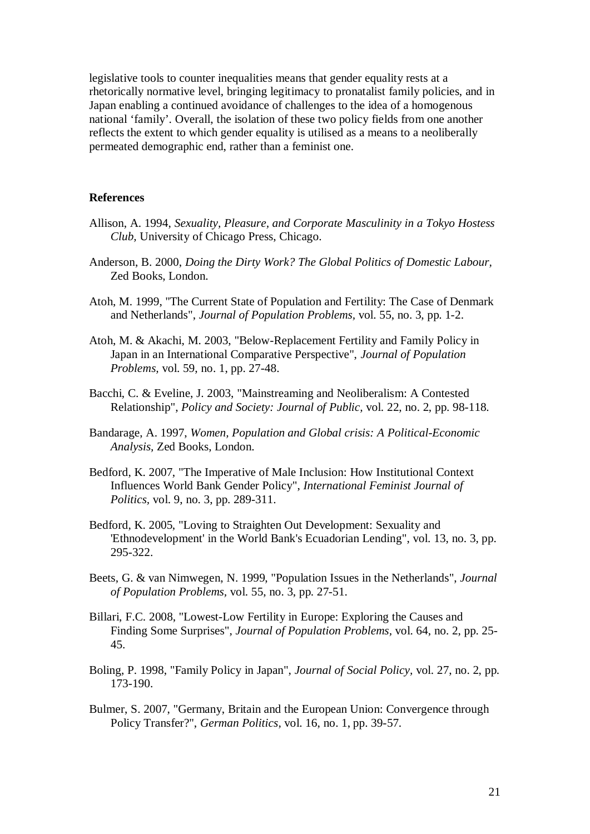legislative tools to counter inequalities means that gender equality rests at a rhetorically normative level, bringing legitimacy to pronatalist family policies, and in Japan enabling a continued avoidance of challenges to the idea of a homogenous national 'family'. Overall, the isolation of these two policy fields from one another reflects the extent to which gender equality is utilised as a means to a neoliberally permeated demographic end, rather than a feminist one.

#### **References**

- Allison, A. 1994, *Sexuality, Pleasure, and Corporate Masculinity in a Tokyo Hostess Club,* University of Chicago Press, Chicago.
- Anderson, B. 2000, *Doing the Dirty Work? The Global Politics of Domestic Labour,* Zed Books, London.
- Atoh, M. 1999, "The Current State of Population and Fertility: The Case of Denmark and Netherlands", *Journal of Population Problems,* vol. 55, no. 3, pp. 1-2.
- Atoh, M. & Akachi, M. 2003, "Below-Replacement Fertility and Family Policy in Japan in an International Comparative Perspective", *Journal of Population Problems,* vol. 59, no. 1, pp. 27-48.
- Bacchi, C. & Eveline, J. 2003, "Mainstreaming and Neoliberalism: A Contested Relationship", *Policy and Society: Journal of Public,* vol. 22, no. 2, pp. 98-118.
- Bandarage, A. 1997, *Women, Population and Global crisis: A Political-Economic Analysis,* Zed Books, London.
- Bedford, K. 2007, "The Imperative of Male Inclusion: How Institutional Context Influences World Bank Gender Policy", *International Feminist Journal of Politics,* vol. 9, no. 3, pp. 289-311.
- Bedford, K. 2005, "Loving to Straighten Out Development: Sexuality and 'Ethnodevelopment' in the World Bank's Ecuadorian Lending", vol. 13, no. 3, pp. 295-322.
- Beets, G. & van Nimwegen, N. 1999, "Population Issues in the Netherlands", *Journal of Population Problems,* vol. 55, no. 3, pp. 27-51.
- Billari, F.C. 2008, "Lowest-Low Fertility in Europe: Exploring the Causes and Finding Some Surprises", *Journal of Population Problems,* vol. 64, no. 2, pp. 25- 45.
- Boling, P. 1998, "Family Policy in Japan", *Journal of Social Policy,* vol. 27, no. 2, pp. 173-190.
- Bulmer, S. 2007, "Germany, Britain and the European Union: Convergence through Policy Transfer?", *German Politics,* vol. 16, no. 1, pp. 39-57.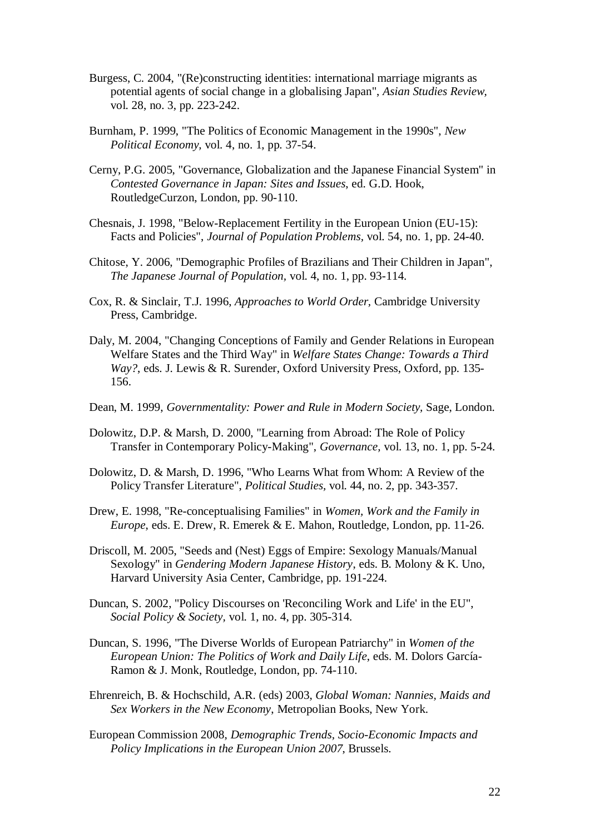- Burgess, C. 2004, "(Re)constructing identities: international marriage migrants as potential agents of social change in a globalising Japan", *Asian Studies Review,* vol. 28, no. 3, pp. 223-242.
- Burnham, P. 1999, "The Politics of Economic Management in the 1990s", *New Political Economy,* vol. 4, no. 1, pp. 37-54.
- Cerny, P.G. 2005, "Governance, Globalization and the Japanese Financial System" in *Contested Governance in Japan: Sites and Issues*, ed. G.D. Hook, RoutledgeCurzon, London, pp. 90-110.
- Chesnais, J. 1998, "Below-Replacement Fertility in the European Union (EU-15): Facts and Policies", *Journal of Population Problems,* vol. 54, no. 1, pp. 24-40.
- Chitose, Y. 2006, "Demographic Profiles of Brazilians and Their Children in Japan", *The Japanese Journal of Population,* vol. 4, no. 1, pp. 93-114.
- Cox, R. & Sinclair, T.J. 1996, *Approaches to World Order,* Cambridge University Press, Cambridge.
- Daly, M. 2004, "Changing Conceptions of Family and Gender Relations in European Welfare States and the Third Way" in *Welfare States Change: Towards a Third Way?*, eds. J. Lewis & R. Surender, Oxford University Press, Oxford, pp. 135- 156.
- Dean, M. 1999, *Governmentality: Power and Rule in Modern Society,* Sage, London.
- Dolowitz, D.P. & Marsh, D. 2000, "Learning from Abroad: The Role of Policy Transfer in Contemporary Policy-Making", *Governance,* vol. 13, no. 1, pp. 5-24.
- Dolowitz, D. & Marsh, D. 1996, "Who Learns What from Whom: A Review of the Policy Transfer Literature", *Political Studies,* vol. 44, no. 2, pp. 343-357.
- Drew, E. 1998, "Re-conceptualising Families" in *Women, Work and the Family in Europe*, eds. E. Drew, R. Emerek & E. Mahon, Routledge, London, pp. 11-26.
- Driscoll, M. 2005, "Seeds and (Nest) Eggs of Empire: Sexology Manuals/Manual Sexology" in *Gendering Modern Japanese History*, eds. B. Molony & K. Uno, Harvard University Asia Center, Cambridge, pp. 191-224.
- Duncan, S. 2002, "Policy Discourses on 'Reconciling Work and Life' in the EU", *Social Policy & Society,* vol. 1, no. 4, pp. 305-314.
- Duncan, S. 1996, "The Diverse Worlds of European Patriarchy" in *Women of the European Union: The Politics of Work and Daily Life*, eds. M. Dolors García-Ramon & J. Monk, Routledge, London, pp. 74-110.
- Ehrenreich, B. & Hochschild, A.R. (eds) 2003, *Global Woman: Nannies, Maids and Sex Workers in the New Economy*, Metropolian Books, New York.
- European Commission 2008, *Demographic Trends, Socio-Economic Impacts and Policy Implications in the European Union 2007*, Brussels.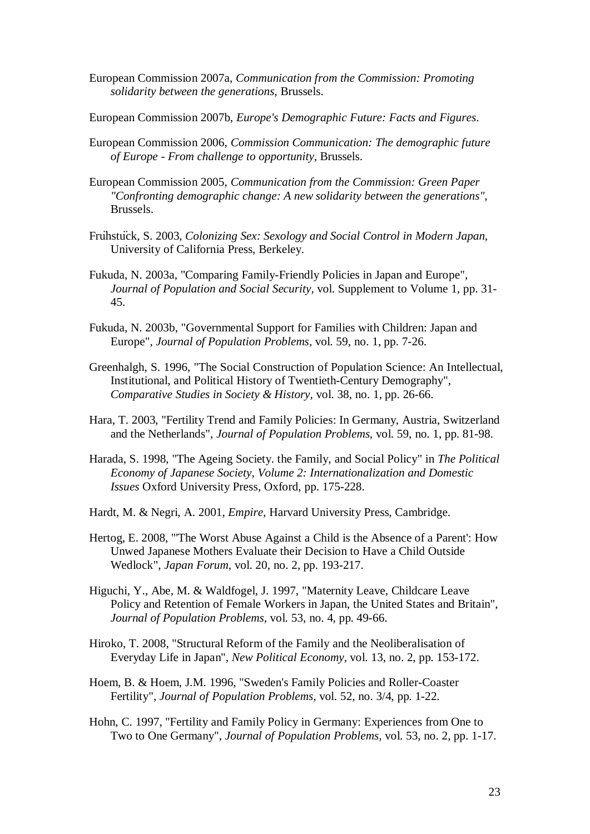- European Commission 2007a, *Communication from the Commission: Promoting solidarity between the generations*, Brussels.
- European Commission 2007b, *Europe's Demographic Future: Facts and Figures*.
- European Commission 2006, *Commission Communication: The demographic future of Europe - From challenge to opportunity*, Brussels.
- European Commission 2005, *Communication from the Commission: Green Paper "Confronting demographic change: A new solidarity between the generations"*, Brussels.
- Fruޠhstuޠck, S. 2003, *Colonizing Sex: Sexology and Social Control in Modern Japan,* University of California Press, Berkeley.
- Fukuda, N. 2003a, "Comparing Family-Friendly Policies in Japan and Europe", *Journal of Population and Social Security,* vol. Supplement to Volume 1, pp. 31- 45.
- Fukuda, N. 2003b, "Governmental Support for Families with Children: Japan and Europe", *Journal of Population Problems,* vol. 59, no. 1, pp. 7-26.
- Greenhalgh, S. 1996, "The Social Construction of Population Science: An Intellectual, Institutional, and Political History of Twentieth-Century Demography", *Comparative Studies in Society & History,* vol. 38, no. 1, pp. 26-66.
- Hara, T. 2003, "Fertility Trend and Family Policies: In Germany, Austria, Switzerland and the Netherlands", *Journal of Population Problems,* vol. 59, no. 1, pp. 81-98.
- Harada, S. 1998, "The Ageing Society. the Family, and Social Policy" in *The Political Economy of Japanese Society, Volume 2: Internationalization and Domestic Issues* Oxford University Press, Oxford, pp. 175-228.
- Hardt, M. & Negri, A. 2001, *Empire,* Harvard University Press, Cambridge.
- Hertog, E. 2008, "'The Worst Abuse Against a Child is the Absence of a Parent': How Unwed Japanese Mothers Evaluate their Decision to Have a Child Outside Wedlock", *Japan Forum,* vol. 20, no. 2, pp. 193-217.
- Higuchi, Y., Abe, M. & Waldfogel, J. 1997, "Maternity Leave, Childcare Leave Policy and Retention of Female Workers in Japan, the United States and Britain", *Journal of Population Problems,* vol. 53, no. 4, pp. 49-66.
- Hiroko, T. 2008, "Structural Reform of the Family and the Neoliberalisation of Everyday Life in Japan", *New Political Economy,* vol. 13, no. 2, pp. 153-172.
- Hoem, B. & Hoem, J.M. 1996, "Sweden's Family Policies and Roller-Coaster Fertility", *Journal of Population Problems,* vol. 52, no. 3/4, pp. 1-22.
- Hohn, C. 1997, "Fertility and Family Policy in Germany: Experiences from One to Two to One Germany", *Journal of Population Problems,* vol. 53, no. 2, pp. 1-17.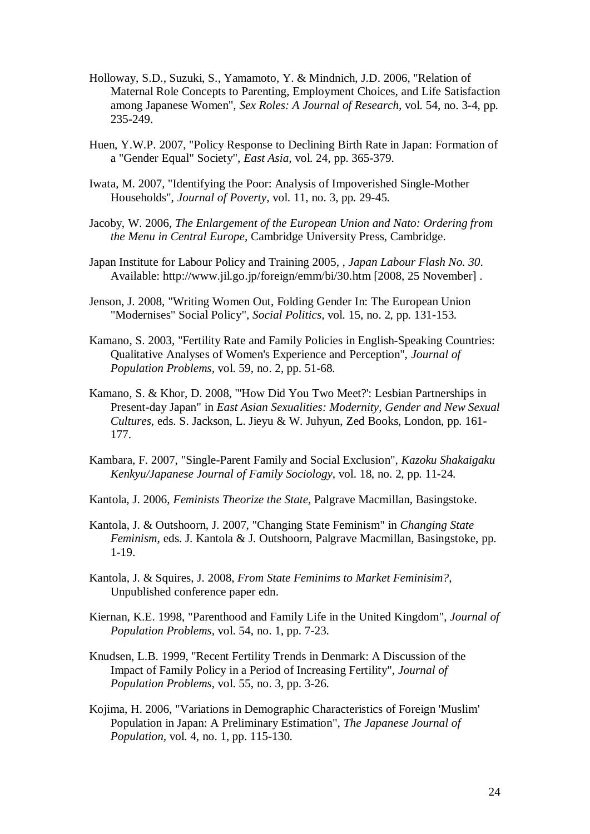- Holloway, S.D., Suzuki, S., Yamamoto, Y. & Mindnich, J.D. 2006, "Relation of Maternal Role Concepts to Parenting, Employment Choices, and Life Satisfaction among Japanese Women", *Sex Roles: A Journal of Research,* vol. 54, no. 3-4, pp. 235-249.
- Huen, Y.W.P. 2007, "Policy Response to Declining Birth Rate in Japan: Formation of a "Gender Equal" Society", *East Asia,* vol. 24, pp. 365-379.
- Iwata, M. 2007, "Identifying the Poor: Analysis of Impoverished Single-Mother Households", *Journal of Poverty,* vol. 11, no. 3, pp. 29-45.
- Jacoby, W. 2006, *The Enlargement of the European Union and Nato: Ordering from the Menu in Central Europe,* Cambridge University Press, Cambridge.
- Japan Institute for Labour Policy and Training 2005, *, Japan Labour Flash No. 30*. Available: <http://www.jil.go.jp/foreign/emm/bi/30.htm> [2008, 25 November] .
- Jenson, J. 2008, "Writing Women Out, Folding Gender In: The European Union "Modernises" Social Policy", *Social Politics,* vol. 15, no. 2, pp. 131-153.
- Kamano, S. 2003, "Fertility Rate and Family Policies in English-Speaking Countries: Qualitative Analyses of Women's Experience and Perception", *Journal of Population Problems,* vol. 59, no. 2, pp. 51-68.
- Kamano, S. & Khor, D. 2008, "'How Did You Two Meet?': Lesbian Partnerships in Present-day Japan" in *East Asian Sexualities: Modernity, Gender and New Sexual Cultures*, eds. S. Jackson, L. Jieyu & W. Juhyun, Zed Books, London, pp. 161- 177.
- Kambara, F. 2007, "Single-Parent Family and Social Exclusion", *Kazoku Shakaigaku Kenkyu/Japanese Journal of Family Sociology,* vol. 18, no. 2, pp. 11-24.
- Kantola, J. 2006, *Feminists Theorize the State,* Palgrave Macmillan, Basingstoke.
- Kantola, J. & Outshoorn, J. 2007, "Changing State Feminism" in *Changing State Feminism*, eds. J. Kantola & J. Outshoorn, Palgrave Macmillan, Basingstoke, pp. 1-19.
- Kantola, J. & Squires, J. 2008, *From State Feminims to Market Feminisim?*, Unpublished conference paper edn.
- Kiernan, K.E. 1998, "Parenthood and Family Life in the United Kingdom", *Journal of Population Problems,* vol. 54, no. 1, pp. 7-23.
- Knudsen, L.B. 1999, "Recent Fertility Trends in Denmark: A Discussion of the Impact of Family Policy in a Period of Increasing Fertility", *Journal of Population Problems,* vol. 55, no. 3, pp. 3-26.
- Kojima, H. 2006, "Variations in Demographic Characteristics of Foreign 'Muslim' Population in Japan: A Preliminary Estimation", *The Japanese Journal of Population,* vol. 4, no. 1, pp. 115-130.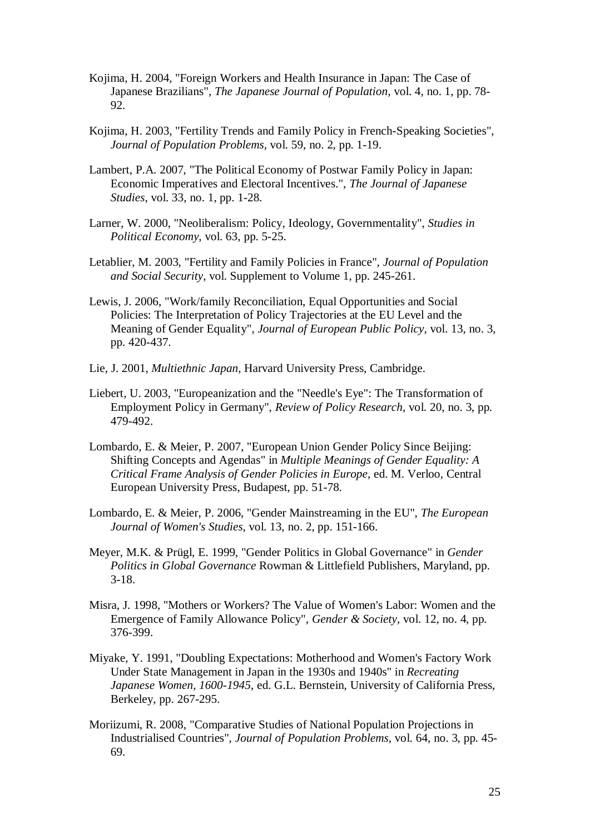- Kojima, H. 2004, "Foreign Workers and Health Insurance in Japan: The Case of Japanese Brazilians", *The Japanese Journal of Population,* vol. 4, no. 1, pp. 78- 92.
- Kojima, H. 2003, "Fertility Trends and Family Policy in French-Speaking Societies", *Journal of Population Problems,* vol. 59, no. 2, pp. 1-19.
- Lambert, P.A. 2007, "The Political Economy of Postwar Family Policy in Japan: Economic Imperatives and Electoral Incentives.", *The Journal of Japanese Studies,* vol. 33, no. 1, pp. 1-28.
- Larner, W. 2000, "Neoliberalism: Policy, Ideology, Governmentality", *Studies in Political Economy,* vol. 63, pp. 5-25.
- Letablier, M. 2003, "Fertility and Family Policies in France", *Journal of Population and Social Security,* vol. Supplement to Volume 1, pp. 245-261.
- Lewis, J. 2006, "Work/family Reconciliation, Equal Opportunities and Social Policies: The Interpretation of Policy Trajectories at the EU Level and the Meaning of Gender Equality", *Journal of European Public Policy,* vol. 13, no. 3, pp. 420-437.
- Lie, J. 2001, *Multiethnic Japan,* Harvard University Press, Cambridge.
- Liebert, U. 2003, "Europeanization and the "Needle's Eye": The Transformation of Employment Policy in Germany", *Review of Policy Research,* vol. 20, no. 3, pp. 479-492.
- Lombardo, E. & Meier, P. 2007, "European Union Gender Policy Since Beijing: Shifting Concepts and Agendas" in *Multiple Meanings of Gender Equality: A Critical Frame Analysis of Gender Policies in Europe*, ed. M. Verloo, Central European University Press, Budapest, pp. 51-78.
- Lombardo, E. & Meier, P. 2006, "Gender Mainstreaming in the EU", *The European Journal of Women's Studies,* vol. 13, no. 2, pp. 151-166.
- Meyer, M.K. & Prügl, E. 1999, "Gender Politics in Global Governance" in *Gender Politics in Global Governance* Rowman & Littlefield Publishers, Maryland, pp. 3-18.
- Misra, J. 1998, "Mothers or Workers? The Value of Women's Labor: Women and the Emergence of Family Allowance Policy", *Gender & Society,* vol. 12, no. 4, pp. 376-399.
- Miyake, Y. 1991, "Doubling Expectations: Motherhood and Women's Factory Work Under State Management in Japan in the 1930s and 1940s" in *Recreating Japanese Women, 1600-1945*, ed. G.L. Bernstein, University of California Press, Berkeley, pp. 267-295.
- Moriizumi, R. 2008, "Comparative Studies of National Population Projections in Industrialised Countries", *Journal of Population Problems,* vol. 64, no. 3, pp. 45- 69.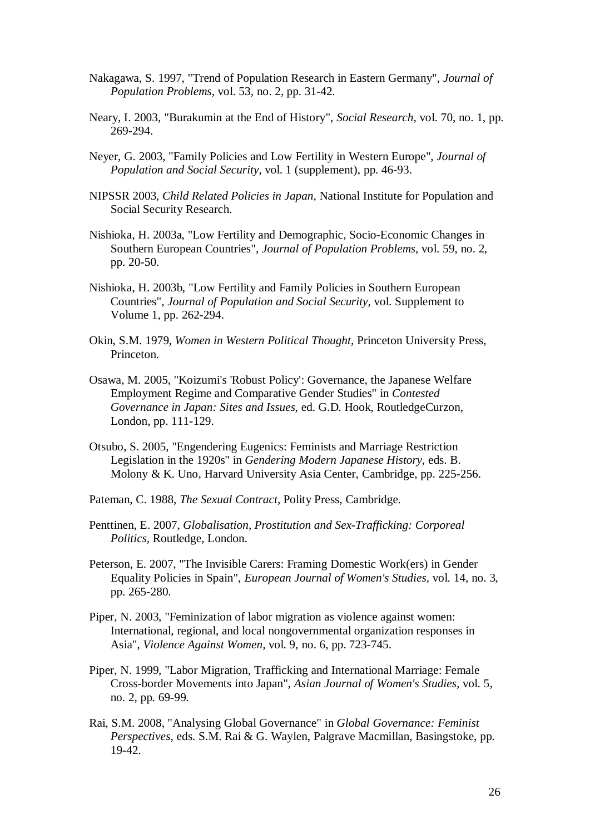- Nakagawa, S. 1997, "Trend of Population Research in Eastern Germany", *Journal of Population Problems,* vol. 53, no. 2, pp. 31-42.
- Neary, I. 2003, "Burakumin at the End of History", *Social Research,* vol. 70, no. 1, pp. 269-294.
- Neyer, G. 2003, "Family Policies and Low Fertility in Western Europe", *Journal of Population and Social Security,* vol. 1 (supplement), pp. 46-93.
- NIPSSR 2003, *Child Related Policies in Japan*, National Institute for Population and Social Security Research.
- Nishioka, H. 2003a, "Low Fertility and Demographic, Socio-Economic Changes in Southern European Countries", *Journal of Population Problems,* vol. 59, no. 2, pp. 20-50.
- Nishioka, H. 2003b, "Low Fertility and Family Policies in Southern European Countries", *Journal of Population and Social Security,* vol. Supplement to Volume 1, pp. 262-294.
- Okin, S.M. 1979, *Women in Western Political Thought,* Princeton University Press, Princeton.
- Osawa, M. 2005, "Koizumi's 'Robust Policy': Governance, the Japanese Welfare Employment Regime and Comparative Gender Studies" in *Contested Governance in Japan: Sites and Issues*, ed. G.D. Hook, RoutledgeCurzon, London, pp. 111-129.
- Otsubo, S. 2005, "Engendering Eugenics: Feminists and Marriage Restriction Legislation in the 1920s" in *Gendering Modern Japanese History*, eds. B. Molony & K. Uno, Harvard University Asia Center, Cambridge, pp. 225-256.
- Pateman, C. 1988, *The Sexual Contract,* Polity Press, Cambridge.
- Penttinen, E. 2007, *Globalisation, Prostitution and Sex-Trafficking: Corporeal Politics,* Routledge, London.
- Peterson, E. 2007, "The Invisible Carers: Framing Domestic Work(ers) in Gender Equality Policies in Spain", *European Journal of Women's Studies,* vol. 14, no. 3, pp. 265-280.
- Piper, N. 2003, "Feminization of labor migration as violence against women: International, regional, and local nongovernmental organization responses in Asia", *Violence Against Women,* vol. 9, no. 6, pp. 723-745.
- Piper, N. 1999, "Labor Migration, Trafficking and International Marriage: Female Cross-border Movements into Japan", *Asian Journal of Women's Studies,* vol. 5, no. 2, pp. 69-99.
- Rai, S.M. 2008, "Analysing Global Governance" in *Global Governance: Feminist Perspectives*, eds. S.M. Rai & G. Waylen, Palgrave Macmillan, Basingstoke, pp. 19-42.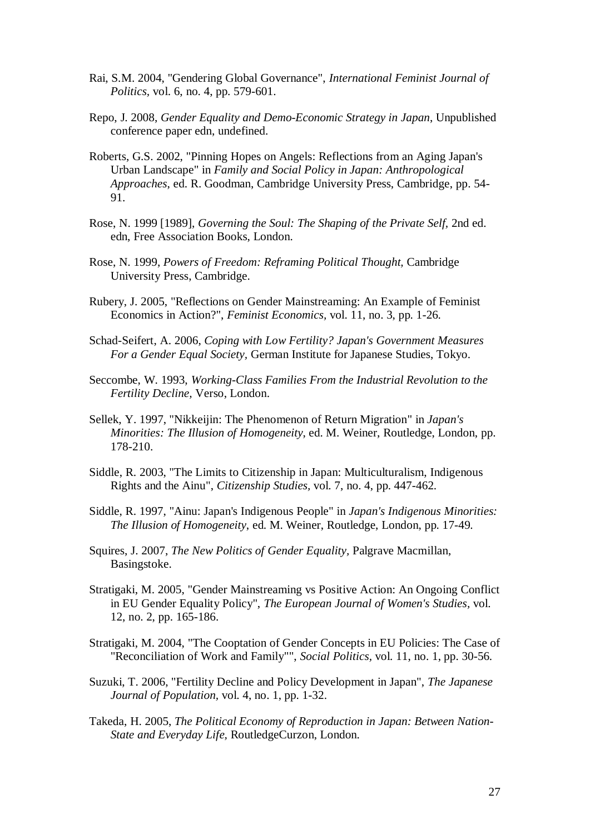- Rai, S.M. 2004, "Gendering Global Governance", *International Feminist Journal of Politics,* vol. 6, no. 4, pp. 579-601.
- Repo, J. 2008, *Gender Equality and Demo-Economic Strategy in Japan*, Unpublished conference paper edn, undefined.
- Roberts, G.S. 2002, "Pinning Hopes on Angels: Reflections from an Aging Japan's Urban Landscape" in *Family and Social Policy in Japan: Anthropological Approaches*, ed. R. Goodman, Cambridge University Press, Cambridge, pp. 54- 91.
- Rose, N. 1999 [1989], *Governing the Soul: The Shaping of the Private Self,* 2nd ed. edn, Free Association Books, London.
- Rose, N. 1999, *Powers of Freedom: Reframing Political Thought,* Cambridge University Press, Cambridge.
- Rubery, J. 2005, "Reflections on Gender Mainstreaming: An Example of Feminist Economics in Action?", *Feminist Economics,* vol. 11, no. 3, pp. 1-26.
- Schad-Seifert, A. 2006, *Coping with Low Fertility? Japan's Government Measures For a Gender Equal Society,* German Institute for Japanese Studies, Tokyo.
- Seccombe, W. 1993, *Working-Class Families From the Industrial Revolution to the Fertility Decline,* Verso, London.
- Sellek, Y. 1997, "Nikkeijin: The Phenomenon of Return Migration" in *Japan's Minorities: The Illusion of Homogeneity*, ed. M. Weiner, Routledge, London, pp. 178-210.
- Siddle, R. 2003, "The Limits to Citizenship in Japan: Multiculturalism, Indigenous Rights and the Ainu", *Citizenship Studies,* vol. 7, no. 4, pp. 447-462.
- Siddle, R. 1997, "Ainu: Japan's Indigenous People" in *Japan's Indigenous Minorities: The Illusion of Homogeneity*, ed. M. Weiner, Routledge, London, pp. 17-49.
- Squires, J. 2007, *The New Politics of Gender Equality,* Palgrave Macmillan, Basingstoke.
- Stratigaki, M. 2005, "Gender Mainstreaming vs Positive Action: An Ongoing Conflict in EU Gender Equality Policy", *The European Journal of Women's Studies,* vol. 12, no. 2, pp. 165-186.
- Stratigaki, M. 2004, "The Cooptation of Gender Concepts in EU Policies: The Case of "Reconciliation of Work and Family"", *Social Politics,* vol. 11, no. 1, pp. 30-56.
- Suzuki, T. 2006, "Fertility Decline and Policy Development in Japan", *The Japanese Journal of Population,* vol. 4, no. 1, pp. 1-32.
- Takeda, H. 2005, *The Political Economy of Reproduction in Japan: Between Nation-State and Everyday Life,* RoutledgeCurzon, London.